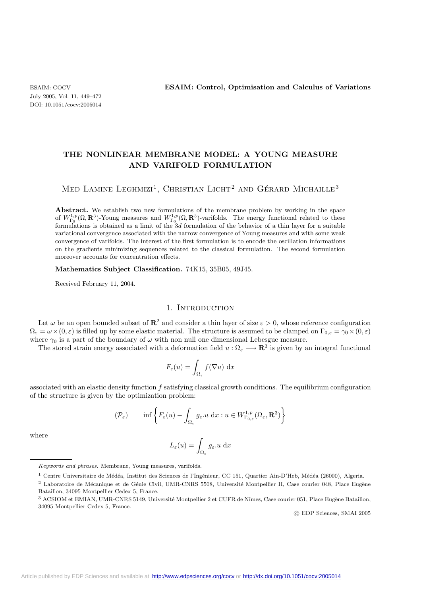## **THE NONLINEAR MEMBRANE MODEL: A YOUNG MEASURE AND VARIFOLD FORMULATION**

# Med Lamine Leghmizi<sup>1</sup>, Christian Licht<sup>2</sup> and Gérard Michaille<sup>3</sup>

**Abstract.** We establish two new formulations of the membrane problem by working in the space of  $W_{\Gamma_0}^{1,p}(\Omega, \mathbf{R}^3)$ -Young measures and  $W_{\Gamma_0}^{1,p}(\Omega, \mathbf{R}^3)$ -varifolds. The energy functional related to these formulations is obtained as a limit of the 3*d* formulation of the behavior of a thin layer for a suitable variational convergence associated with the narrow convergence of Young measures and with some weak convergence of varifolds. The interest of the first formulation is to encode the oscillation informations on the gradients minimizing sequences related to the classical formulation. The second formulation moreover accounts for concentration effects.

#### **Mathematics Subject Classification.** 74K15, 35B05, 49J45.

Received February 11, 2004.

#### 1. INTRODUCTION

Let  $\omega$  be an open bounded subset of  $\mathbb{R}^2$  and consider a thin layer of size  $\varepsilon > 0$ , whose reference configuration  $\Omega_{\varepsilon} = \omega \times (0, \varepsilon)$  is filled up by some elastic material. The structure is assumed to be clamped on  $\Gamma_{0,\varepsilon} = \gamma_0 \times (0, \varepsilon)$ where  $\gamma_0$  is a part of the boundary of  $\omega$  with non null one dimensional Lebesgue measure.

The stored strain energy associated with a deformation field  $u : \Omega_{\varepsilon} \longrightarrow \mathbb{R}^3$  is given by an integral functional

$$
F_{\varepsilon}(u) = \int_{\Omega_{\varepsilon}} f(\nabla u) \, \mathrm{d}x
$$

associated with an elastic density function f satisfying classical growth conditions. The equilibrium configuration of the structure is given by the optimization problem:

$$
(\mathcal{P}_{\varepsilon}) \qquad \inf \left\{ F_{\varepsilon}(u) - \int_{\Omega_{\varepsilon}} g_{\varepsilon}.u \, dx : u \in W^{1,p}_{\Gamma_{0,\varepsilon}}(\Omega_{\varepsilon},\mathbf{R}^3) \right\}
$$

where

$$
L_{\varepsilon}(u) = \int_{\Omega_{\varepsilon}} g_{\varepsilon} \, du \, \mathrm{d}x
$$

c EDP Sciences, SMAI 2005

*Keywords and phrases.* Membrane, Young measures, varifolds.

<sup>&</sup>lt;sup>1</sup> Centre Universitaire de Médéa, Institut des Sciences de l'Ingénieur, CC 151, Quartier Ain-D'Heb, Médéa (26000), Algeria.

<sup>&</sup>lt;sup>2</sup> Laboratoire de Mécanique et de Génie Civil, UMR-CNRS 5508, Université Montpellier II, Case courier 048, Place Eugène Bataillon, 34095 Montpellier Cedex 5, France.

 $^3$  ACSIOM et EMIAN, UMR-CNRS 5149, Université Montpellier 2 et CUFR de Nîmes, Case courier 051, Place Eugène Bataillon, 34095 Montpellier Cedex 5, France.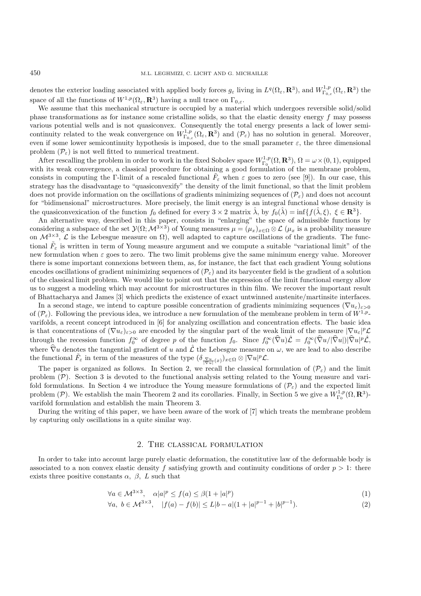denotes the exterior loading associated with applied body forces  $g_{\varepsilon}$  living in  $L^q(\Omega_{\varepsilon}, \mathbf{R}^3)$ , and  $W^{1,p}_{\Gamma_{0,\varepsilon}}(\Omega_{\varepsilon}, \mathbf{R}^3)$  the space of all the functions of  $W^{1,p}(\Omega_{\varepsilon}, \mathbf{R}^3)$  having a null trace on  $\Gamma_{0,\varepsilon}$ .

We assume that this mechanical structure is occupied by a material which undergoes reversible solid/solid phase transformations as for instance some cristalline solids, so that the elastic density energy  $f$  may possess various potential wells and is not quasiconvex. Consequently the total energy presents a lack of lower semicontinuity related to the weak convergence on  $W^{1,p}_{\Gamma_{0,\varepsilon}}(\Omega_{\varepsilon},\mathbf{R}^3)$  and  $(\mathcal{P}_{\varepsilon})$  has no solution in general. Moreover, even if some lower semicontinuity hypothesis is imposed, due to the small parameter  $\varepsilon$ , the three dimensional problem  $(\mathcal{P}_{\varepsilon})$  is not well fitted to numerical treatment.

After rescalling the problem in order to work in the fixed Sobolev space  $W_{\Gamma_0}^{1,p}(\Omega,\mathbf{R}^3)$ ,  $\Omega = \omega \times (0,1)$ , equipped with its weak convergence, a classical procedure for obtaining a good formulation of the membrane problem, consists in computing the Γ-limit of a rescaled functional  $\tilde{F}_{\varepsilon}$  when  $\varepsilon$  goes to zero (see [9]). In our case, this strategy has the disadvantage to "quasiconvexify" the density of the limit functional, so that the limit problem does not provide information on the oscillations of gradients minimizing sequences of  $(\mathcal{P}_{\varepsilon})$  and does not account for "bidimensional" microstructures. More precisely, the limit energy is an integral functional whose density is the quasiconvexication of the function  $f_0$  defined for every  $3 \times 2$  matrix  $\hat{\lambda}$ , by  $f_0(\hat{\lambda}) = \inf\{f(\hat{\lambda}, \xi), \xi \in \mathbb{R}^3\}.$ 

An alternative way, described in this paper, consists in "enlarging" the space of admissible functions by considering a subspace of the set  $\mathcal{Y}(\Omega; \mathcal{M}^{3\times3})$  of Young measures  $\mu = (\mu_x)_{x\in\Omega}\otimes\mathcal{L}$  ( $\mu_x$  is a probability measure on  $\mathcal{M}^{3\times3}$ ,  $\mathcal{L}$  is the Lebesgue measure on  $\Omega$ ), well adapted to capture oscillations of the gradients. The functional  $\tilde{F}_{\varepsilon}$  is written in term of Young measure argument and we compute a suitable "variational limit" of the new formulation when  $\varepsilon$  goes to zero. The two limit problems give the same minimum energy value. Moreover there is some important connexions between them, as, for instance, the fact that each gradient Young solutions encodes oscillations of gradient minimizing sequences of  $(\mathcal{P}_{\varepsilon})$  and its barycenter field is the gradient of a solution of the classical limit problem. We would like to point out that the expression of the limit functional energy allow us to suggest a modeling which may account for microstructures in thin film. We recover the important result of Bhattacharya and James [3] which predicts the existence of exact untwinned austenite/martinsite interfaces.

In a second stage, we intend to capture possible concentration of gradients minimizing sequences  $(\nabla u_{\varepsilon})_{\varepsilon>0}$ of  $(\mathcal{P}_{\varepsilon})$ . Following the previous idea, we introduce a new formulation of the membrane problem in term of  $W^{1,p}$ varifolds, a recent concept introduced in [6] for analyzing oscillation and concentration effects. The basic idea is that concentrations of  $(\nabla u_{\varepsilon})_{\varepsilon>0}$  are encoded by the singular part of the weak limit of the measure  $|\nabla u_{\varepsilon}|^p \mathcal{L}$ through the recession function  $f_0^{\infty}$  of degree p of the function  $f_0$ . Since  $f_0^{\infty}(\hat{\nabla}u)\hat{\mathcal{L}} = f_0^{\infty}(\hat{\nabla}u/|\hat{\nabla}u|) |\hat{\nabla}u|^p \hat{\mathcal{L}}$ , where  $\hat{\nabla}u$  denotes the tangential gradient of u and  $\hat{\mathcal{L}}$  the Lebesgue measure on  $\omega$ , we are lead to also describe the functional  $\tilde{F}_{\varepsilon}$  in term of the measures of the type  $(\delta_{\frac{\nabla u}{|\nabla u|}(x)})_{x\in\Omega}\otimes|\nabla u|^p\mathcal{L}$ .

The paper is organized as follows. In Section 2, we recall the classical formulation of  $(\mathcal{P}_{\varepsilon})$  and the limit problem  $(\mathcal{P})$ . Section 3 is devoted to the functional analysis setting related to the Young measure and varifold formulations. In Section 4 we introduce the Young measure formulations of  $(\mathcal{P}_{\varepsilon})$  and the expected limit problem (P). We establish the main Theorem 2 and its corollaries. Finally, in Section 5 we give a  $W^{1,p}_{\Gamma_0}(\Omega,\mathbf{R}^3)$ varifold formulation and establish the main Theorem 3.

During the writing of this paper, we have been aware of the work of [7] which treats the membrane problem by capturing only oscillations in a quite similar way.

## 2. The classical formulation

In order to take into account large purely elastic deformation, the constitutive law of the deformable body is associated to a non convex elastic density f satisfying growth and continuity conditions of order  $p > 1$ : there exists three positive constants  $\alpha$ ,  $\beta$ , L such that

$$
\forall a \in \mathcal{M}^{3 \times 3}, \quad \alpha |a|^p \le f(a) \le \beta (1 + |a|^p) \tag{1}
$$

$$
\forall a, \ b \in \mathcal{M}^{3 \times 3}, \quad |f(a) - f(b)| \le L|b - a|(1 + |a|^{p-1} + |b|^{p-1}). \tag{2}
$$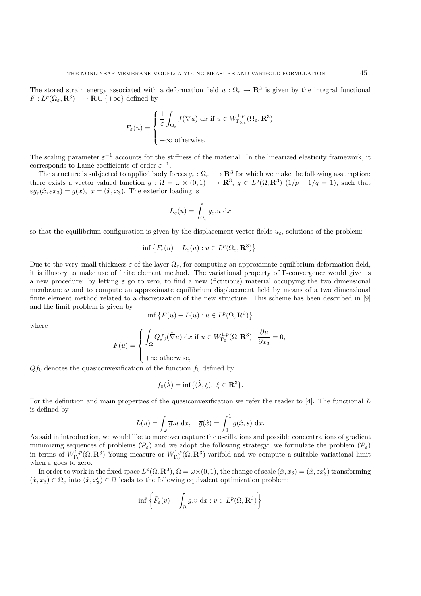The stored strain energy associated with a deformation field  $u : \Omega_{\epsilon} \to \mathbb{R}^3$  is given by the integral functional  $F: L^p(\Omega_\varepsilon, \mathbf{R}^3) \longrightarrow \mathbf{R} \cup \{+\infty\}$  defined by

$$
F_{\varepsilon}(u) = \begin{cases} \frac{1}{\varepsilon} \int_{\Omega_{\varepsilon}} f(\nabla u) \, \mathrm{d}x \, \mathrm{if} \, u \in W^{1,p}_{\Gamma_{0,\varepsilon}}(\Omega_{\varepsilon}, \mathbf{R}^3) \\ +\infty \, \mathrm{otherwise.} \end{cases}
$$

The scaling parameter  $\varepsilon^{-1}$  accounts for the stiffness of the material. In the linearized elasticity framework, it corresponds to Lamé coefficients of order  $\varepsilon^{-1}$ .

The structure is subjected to applied body forces  $g_{\varepsilon}: \Omega_{\varepsilon} \longrightarrow \mathbb{R}^{3}$  for which we make the following assumption: there exists a vector valued function  $g : \Omega = \omega \times (0,1) \longrightarrow \mathbb{R}^3$ ,  $g \in L^q(\Omega, \mathbb{R}^3)$   $(1/p + 1/q = 1)$ , such that  $\varepsilon g_{\varepsilon}(\hat{x}, \varepsilon x_3) = g(x), x = (\hat{x}, x_3).$  The exterior loading is

$$
L_{\varepsilon}(u) = \int_{\Omega_{\varepsilon}} g_{\varepsilon} \, du \, \mathrm{d}x
$$

so that the equilibrium configuration is given by the displacement vector fields  $\overline{u}_{\varepsilon}$ , solutions of the problem:

$$
\inf \big\{ F_{\varepsilon}(u) - L_{\varepsilon}(u) : u \in L^p(\Omega_{\varepsilon}, \mathbf{R}^3) \big\}.
$$

Due to the very small thickness  $\varepsilon$  of the layer  $\Omega_{\varepsilon}$ , for computing an approximate equilibrium deformation field, it is illusory to make use of finite element method. The variational property of Γ-convergence would give us a new procedure: by letting  $\varepsilon$  go to zero, to find a new (fictitious) material occupying the two dimensional membrane  $\omega$  and to compute an approximate equilibrium displacement field by means of a two dimensional finite element method related to a discretization of the new structure. This scheme has been described in [9] and the limit problem is given by

$$
\inf \{ F(u) - L(u) : u \in L^p(\Omega, \mathbf{R}^3) \}
$$

where

$$
F(u) = \begin{cases} \int_{\Omega} Q f_0(\widehat{\nabla} u) \, \mathrm{d}x \text{ if } u \in W_{\Gamma_0}^{1,p}(\Omega, \mathbf{R}^3), & \frac{\partial u}{\partial x_3} = 0, \\ 0 & \text{otherwise} \end{cases}
$$

$$
\Big( +\infty
$$
 otherwise,

 $Qf_0$  denotes the quasiconvexification of the function  $f_0$  defined by

$$
f_0(\hat{\lambda}) = \inf \{ (\hat{\lambda}, \xi), \ \xi \in \mathbf{R}^3 \}.
$$

For the definition and main properties of the quasiconvexification we refer the reader to [4]. The functional L is defined by

$$
L(u) = \int_{\omega} \overline{g} \cdot u \, dx, \quad \overline{g}(\hat{x}) = \int_{0}^{1} g(\hat{x}, s) \, dx.
$$

As said in introduction, we would like to moreover capture the oscillations and possible concentrations of gradient minimizing sequences of problems  $(\mathcal{P}_{\varepsilon})$  and we adopt the following strategy: we formulate the problem  $(\mathcal{P}_{\varepsilon})$ in terms of  $W_{\Gamma_0}^{1,p}(\Omega, \mathbf{R}^3)$ -Young measure or  $W_{\Gamma_0}^{1,p}(\Omega, \mathbf{R}^3)$ -varifold and we compute a suitable variational limit when  $\varepsilon$  goes to zero.

In order to work in the fixed space  $L^p(\Omega, \mathbf{R}^3), \Omega = \omega \times (0, 1)$ , the change of scale  $(\hat{x}, x_3) = (\hat{x}, \varepsilon x_3')$  transforming  $(\hat{x}, x_3) \in \Omega_{\varepsilon}$  into  $(\hat{x}, x'_3) \in \Omega$  leads to the following equivalent optimization problem:

$$
\inf \left\{ \tilde{F}_{\varepsilon}(v) - \int_{\Omega} g.v \, \, \mathrm{d}x : v \in L^{p}(\Omega, \mathbf{R}^{3}) \right\}
$$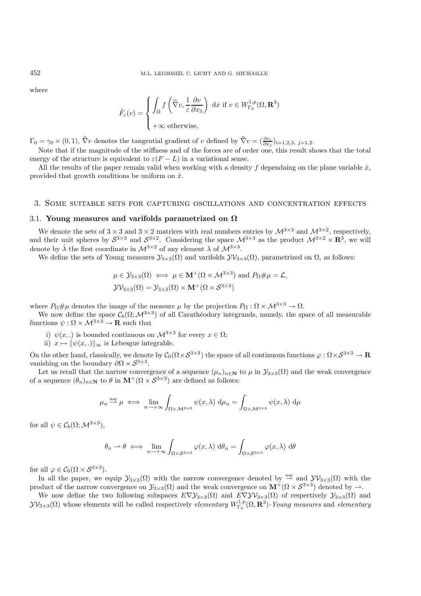where

$$
\tilde{F}_{\varepsilon}(v) = \begin{cases} \int_{\Omega} f\left(\widehat{\nabla}v, \frac{1}{\varepsilon} \frac{\partial v}{\partial x_3}\right) \, \mathrm{d}x \, \, \mathrm{if} \, \, v \in W_{\Gamma_0}^{1,p}(\Omega, \mathbf{R}^3) \\ +\infty \, \, \mathrm{otherwise}, \end{cases}
$$

 $\Gamma_0 = \gamma_0 \times (0, 1), \hat{\nabla}v$  denotes the tangential gradient of v defined by  $\hat{\nabla}v = (\frac{\partial v_i}{\partial x_j})_{i=1,2,3,\ j=1,2}$ 

Note that if the magnitude of the stiffness and of the forces are of order one, this result shows that the total energy of the structure is equivalent to  $\varepsilon(F-L)$  in a variational sense.

All the results of the paper remain valid when working with a density f dependaing on the plane variable  $\hat{x}$ , provided that growth conditions be uniform on  $\hat{x}$ .

#### 3. Some suitable sets for capturing oscillations and concentration effects

#### 3.1. **Young measures and varifolds parametrized on Ω**

We denote the sets of  $3 \times 3$  and  $3 \times 2$  matrices with real numbers entries by  $\mathcal{M}^{3 \times 3}$  and  $\mathcal{M}^{3 \times 2}$ , respectively, and their unit spheres by  $S^{3\times3}$  and  $S^{3\times2}$ . Considering the space  $\mathcal{M}^{3\times3}$  as the product  $\mathcal{M}^{3\times2}\times\mathbf{R}^3$ , we will denote by  $\hat{\lambda}$  the first coordinate in  $\mathcal{M}^{3\times 2}$  of any element  $\lambda$  of  $\mathcal{M}^{3\times 3}$ .

We define the sets of Young measures  $\mathcal{Y}_{3\times 3}(\Omega)$  and varifolds  $\mathcal{Y}\mathcal{Y}_{3\times 3}(\Omega)$ , parametrized on  $\Omega$ , as follows:

$$
\mu \in \mathcal{Y}_{3\times 3}(\Omega) \iff \mu \in \mathbf{M}^+(\Omega \times \mathcal{M}^{3\times 3})
$$
 and  $P_{\Omega} \# \mu = \mathcal{L}$ ,  
\n $\mathcal{Y}\mathcal{V}_{3\times 3}(\Omega) = \mathcal{Y}_{3\times 3}(\Omega) \times \mathbf{M}^+(\Omega \times \mathcal{S}^{3\times 3})$ 

where  $P_{\Omega} \# \mu$  denotes the image of the measure  $\mu$  by the projection  $P_{\Omega} : \Omega \times M^{3 \times 3} \to \Omega$ .

We now define the space  $\mathcal{C}_b(\Omega;\mathcal{M}^{3\times3})$  of all Carathéodory integrands, namely, the space of all measurable functions  $\psi : \Omega \times M^{3 \times 3} \to \mathbf{R}$  such that

- i)  $\psi(x,.)$  is bounded continuous on  $\mathcal{M}^{3\times3}$  for every  $x \in \Omega$ ;
- ii)  $x \mapsto ||\psi(x,.)||_{\infty}$  is Lebesgue integrable.

On the other hand, classically, we denote by  $C_0(\Omega \times S^{3\times 3})$  the space of all continuous functions  $\varphi : \Omega \times S^{3\times 3} \to \mathbb{R}$ vanishing on the boundary  $\partial \Omega \times S^{3 \times 3}$ .

Let us recall that the narrow convergence of a sequence  $(\mu_n)_{n\in\mathbb{N}}$  to  $\mu$  in  $\mathcal{Y}_{3\times 3}(\Omega)$  and the weak convergence of a sequence  $(\theta_n)_{n \in \mathbb{N}}$  to  $\theta$  in  $\mathbf{M}^+(\Omega \times \mathcal{S}^{3\times 3})$  are defined as follows:

$$
\mu_n \stackrel{\text{nar}}{\longrightarrow} \mu \iff \lim_{n \to +\infty} \int_{\Omega \times \mathcal{M}^{3 \times 3}} \psi(x, \lambda) \, d\mu_n = \int_{\Omega \times \mathcal{M}^{3 \times 3}} \psi(x, \lambda) \, d\mu
$$

for all  $\psi \in \mathcal{C}_b(\Omega; \mathcal{M}^{3 \times 3})$ ,

$$
\theta_n \to \theta \iff \lim_{n \to +\infty} \int_{\Omega \times S^{3 \times 3}} \varphi(x, \lambda) d\theta_n = \int_{\Omega \times S^{3 \times 3}} \varphi(x, \lambda) d\theta
$$

for all  $\varphi \in C_0(\Omega \times S^{3 \times 3})$ .

In all the paper, we equip  $\mathcal{Y}_{3\times3}(\Omega)$  with the narrow convergence denoted by  $\frac{\text{nar}}{\longrightarrow}$  and  $\mathcal{Y}\mathcal{Y}_{3\times3}(\Omega)$  with the product of the narrow convergence on  $\mathcal{Y}_{3\times 3}(\Omega)$  and the weak convergence on  $\mathbf{M}^+(\Omega \times \mathcal{S}^{3\times 3})$  denoted by  $\rightarrow$ .

We now define the two following subspaces  $E\nabla\mathcal{Y}_{3\times3}(\Omega)$  and  $E\nabla\mathcal{Y}_{3\times3}(\Omega)$  of respectively  $\mathcal{Y}_{3\times3}(\Omega)$  and  $yv_{3\times3}(\Omega)$  whose elements will be called respectively *elementary*  $W_{\Gamma_0}^{1,p}(\Omega, \mathbf{R}^3)$ -Young measures and *elementary*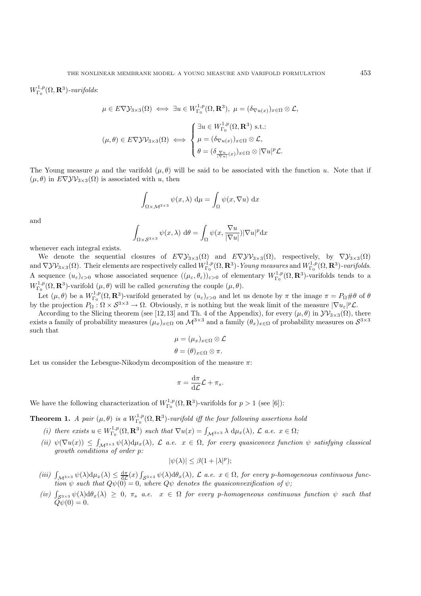$W^{1,p}_{\Gamma_0}(\Omega,\mathbf{R}^3)$ -varifolds:

$$
\mu \in E \nabla \mathcal{Y}_{3 \times 3}(\Omega) \iff \exists u \in W_{\Gamma_0}^{1,p}(\Omega, \mathbf{R}^3), \ \mu = (\delta_{\nabla u(x)})_{x \in \Omega} \otimes \mathcal{L},
$$

$$
(\mu, \theta) \in E \nabla \mathcal{Y} \mathcal{Y}_{3 \times 3}(\Omega) \iff \begin{cases} \exists u \in W_{\Gamma_0}^{1,p}(\Omega, \mathbf{R}^3) \text{ s.t.:} \\ \mu = (\delta_{\nabla u(x)})_{x \in \Omega} \otimes \mathcal{L}, \\ \theta = (\delta_{\frac{\nabla u}{|\nabla u|}(x)})_{x \in \Omega} \otimes |\nabla u|^p \mathcal{L}. \end{cases}
$$

The Young measure  $\mu$  and the varifold  $(\mu, \theta)$  will be said to be associated with the function u. Note that if  $(\mu, \theta)$  in  $E \nabla \mathcal{Y} \mathcal{V}_{3 \times 3}(\Omega)$  is associated with u, then

$$
\int_{\Omega \times \mathcal{M}^{3 \times 3}} \psi(x, \lambda) d\mu = \int_{\Omega} \psi(x, \nabla u) dx
$$

and

$$
\int_{\Omega \times S^{3 \times 3}} \psi(x, \lambda) d\theta = \int_{\Omega} \psi(x, \frac{\nabla u}{|\nabla u|}) |\nabla u|^p dx
$$

whenever each integral exists.

We denote the sequential closures of  $E\nabla y_{3\times 3}(\Omega)$  and  $E\nabla y_{3\times 3}(\Omega)$ , respectively, by  $\nabla y_{3\times 3}(\Omega)$ and  $\nabla \mathcal{Y} \mathcal{Y}_{3\times 3}(\Omega)$ . Their elements are respectively called  $W_{\Gamma_0}^{1,p}(\Omega,\mathbf{R}^3)$ -*Young measures* and  $W_{\Gamma_0}^{1,p}(\Omega,\mathbf{R}^3)$ -varifolds. A sequence  $(u_{\varepsilon})_{\varepsilon>0}$  whose associated sequence  $((\mu_{\varepsilon}, \theta_{\varepsilon}))_{\varepsilon>0}$  of elementary  $W_{\Gamma_0}^{1,p}(\Omega, \mathbf{R}^3)$ -varifolds tends to a  $W^{1,p}_{\Gamma_0}(\Omega, \mathbf{R}^3)$ -varifold  $(\mu, \theta)$  will be called *generating* the couple  $(\mu, \theta)$ .

Let  $(\mu, \theta)$  be a  $W^{1,p}_{\Gamma_0}(\Omega, \mathbf{R}^3)$ -varifold generated by  $(u_{\varepsilon})_{\varepsilon>0}$  and let us denote by  $\pi$  the image  $\pi = P_{\Omega} \# \theta$  of  $\theta$ by the projection  $P_{\Omega}: \Omega \times \mathcal{S}^{3 \times 3} \to \Omega$ . Obviously,  $\pi$  is nothing but the weak limit of the measure  $|\nabla u_{\varepsilon}|^p \mathcal{L}$ .

According to the Slicing theorem (see [12,13] and Th. 4 of the Appendix), for every  $(\mu, \theta)$  in  ${\cal V}{\cal V}_{3\times 3}(\Omega)$ , there exists a family of probability measures  $(\mu_x)_{x\in\Omega}$  on  $\mathcal{M}^{3\times3}$  and a family  $(\theta_x)_{x\in\Omega}$  of probability measures on  $\mathcal{S}^{3\times3}$ such that

$$
\mu = (\mu_x)_{x \in \Omega} \otimes \mathcal{L}
$$

$$
\theta = (\theta)_{x \in \Omega} \otimes \pi.
$$

Let us consider the Lebesgue-Nikodym decomposition of the measure  $\pi$ :

$$
\pi = \frac{\mathrm{d}\pi}{\mathrm{d}\mathcal{L}}\mathcal{L} + \pi_s.
$$

We have the following characterization of  $W^{1,p}_{\Gamma_0}(\Omega,\mathbf{R}^3)$ -varifolds for  $p>1$  (see [6]):

**Theorem 1.** *A pair*  $(\mu, \theta)$  *is a*  $W_{\Gamma_0}^{1,p}(\Omega, \mathbf{R}^3)$ *-varifold iff the four following assertions hold* 

- (*i*) there exists  $u \in W^{1,p}_{\Gamma_0}(\Omega, \mathbf{R}^3)$  such that  $\nabla u(x) = \int_{\mathcal{M}^{3\times 3}} \lambda \, d\mu_x(\lambda)$ ,  $\mathcal{L}$  a.e.  $x \in \Omega$ ;
- $(iii)$   $\psi(\nabla u(x)) \leq \int_{\mathcal{M}^{3\times 3}} \psi(\lambda) d\mu_x(\lambda)$ ,  $\mathcal{L}$  *a.e.*  $x \in \Omega$ , for every quasiconvex function  $\psi$  satisfying classical *growth conditions of order* p*:*

$$
|\psi(\lambda)| \leq \beta(1+|\lambda|^p);
$$

- (iii)  $\int_{\mathcal{M}^{3\times 3}} \psi(\lambda) d\mu_x(\lambda) \leq \frac{d\pi}{d\mathcal{L}}(x) \int_{\mathcal{S}^{3\times 3}} \psi(\lambda) d\theta_x(\lambda)$ ,  $\mathcal{L}$  a.e.  $x \in \Omega$ , for every p-homogeneous continuous function  $\psi$  such that  $Q\psi(0) = 0$ , where  $Q\psi$  denotes the quasiconvexifica
- $(iv)$   $\int_{S^{3\times 3}} \psi(\lambda) d\theta_x(\lambda) \geq 0$ ,  $\pi_s$  *a.e.*  $x \in \Omega$  *for every p-homogeneous continuous function*  $\psi$  *such that*  $\tilde{Q}\psi(0) = 0.$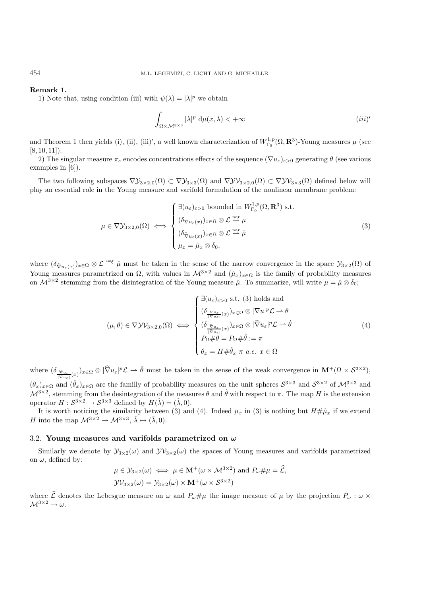#### **Remark 1.**

1) Note that, using condition (iii) with  $\psi(\lambda) = |\lambda|^p$  we obtain

$$
\int_{\Omega \times \mathcal{M}^{3 \times 3}} |\lambda|^p \, \mathrm{d}\mu(x, \lambda) < +\infty \tag{iii}
$$

and Theorem 1 then yields (i), (ii), (iii)', a well known characterization of  $W^{1,p}_{\Gamma_0}(\Omega, \mathbf{R}^3)$ -Young measures  $\mu$  (see  $[8, 10, 11]$ .

2) The singular measure  $\pi_s$  encodes concentrations effects of the sequence  $(\nabla u_{\varepsilon})_{\varepsilon>0}$  generating  $\theta$  (see various examples in [6]).

The two following subspaces  $\nabla \mathcal{Y}_{3\times 2,0}(\Omega) \subset \nabla \mathcal{Y}_{3\times 3}(\Omega)$  and  $\nabla \mathcal{Y}_{3\times 2,0}(\Omega) \subset \nabla \mathcal{Y}_{3\times 3}(\Omega)$  defined below will play an essential role in the Young measure and varifold formulation of the nonlinear membrane problem:

$$
\mu \in \nabla \mathcal{Y}_{3 \times 2,0}(\Omega) \iff \begin{cases} \exists (u_{\varepsilon})_{\varepsilon > 0} \text{ bounded in } W_{\Gamma_0}^{1,p}(\Omega, \mathbf{R}^3) \text{ s.t.} \\ (\delta_{\nabla u_{\varepsilon}(x)})_{x \in \Omega} \otimes \mathcal{L} \stackrel{\text{nar}}{\rightharpoonup} \mu \\ (\delta_{\widehat{\nabla} u_{\varepsilon}(x)})_{x \in \Omega} \otimes \mathcal{L} \stackrel{\text{nar}}{\rightharpoonup} \hat{\mu} \\ \mu_x = \hat{\mu}_x \otimes \delta_0, \end{cases}
$$
(3)

where  $(\delta_{\hat{\nabla}u_{\varepsilon}(x)})_{x\in\Omega}\otimes\mathcal{L}\stackrel{\text{nar}}{\longrightarrow}\hat{\mu}$  must be taken in the sense of the narrow convergence in the space  $\mathcal{Y}_{3\times2}(\Omega)$  of Young measures parametrized on  $\Omega$ , with values in  $\mathcal{M}^{3\times 2}$  and  $(\hat{\mu}_x)_{x\in\Omega}$  is the family of probability measures on  $\mathcal{M}^{3\times 2}$  stemming from the disintegration of the Young measure  $\hat{\mu}$ . To summarize, will write  $\mu = \hat{\mu} \otimes \delta_0$ ;

$$
(\mu, \theta) \in \nabla \mathcal{Y} \mathcal{V}_{3 \times 2,0}(\Omega) \iff \begin{cases} \exists (u_{\varepsilon})_{\varepsilon > 0} \text{ s.t. } (3) \text{ holds and} \\ (\delta_{\frac{\nabla u_{\varepsilon}}{|\nabla u_{\varepsilon}|}(x)})_{x \in \Omega} \otimes |\nabla u|^{p} \mathcal{L} \to \theta \\ (\delta_{\frac{\nabla u_{\varepsilon}}{|\nabla u_{\varepsilon}|}(x)})_{x \in \Omega} \otimes |\hat{\nabla} u_{\varepsilon}|^{p} \mathcal{L} \to \hat{\theta} \\ P_{\Omega} \# \theta = P_{\Omega} \# \hat{\theta} := \pi \\ \theta_{x} = H \# \hat{\theta}_{x} \ \pi \ a.e. \ x \in \Omega \end{cases} \tag{4}
$$

where  $(\delta_{\widehat{\nabla}u_{\varepsilon}})_{x\in\Omega}\otimes|\widehat{\nabla}u_{\varepsilon}|^p\mathcal{L}\rightharpoonup \widehat{\theta}$  must be taken in the sense of the weak convergence in  $\mathbf{M}^+(\Omega\times\mathcal{S}^{3\times 2})$ ,  $(\theta_x)_{x \in \Omega}$  and  $(\hat{\theta}_x)_{x \in \Omega}$  are the familly of probability measures on the unit spheres  $S^{3 \times 3}$  and  $S^{3 \times 2}$  of  $\mathcal{M}^{3 \times 3}$  and  $\mathcal{M}^{3\times 2}$ , stemming from the desintegration of the measures  $\theta$  and  $\hat{\theta}$  with respect to  $\pi$ . The map H is the extension operator  $H : S^{3 \times 2} \to S^{3 \times 3}$  defined by  $H(\hat{\lambda}) = (\hat{\lambda}, 0)$ .

It is worth noticing the similarity between (3) and (4). Indeed  $\mu_x$  in (3) is nothing but  $H \# \hat{\mu}_x$  if we extend H into the map  $\mathcal{M}^{3\times 2} \to \mathcal{M}^{3\times 3}$ ,  $\hat{\lambda} \mapsto (\hat{\lambda}, 0)$ .

#### 3.2. **Young measures and varifolds parametrized on** *ω*

Similarly we denote by  $\mathcal{Y}_{3\times2}(\omega)$  and  $\mathcal{Y}\mathcal{Y}_{3\times2}(\omega)$  the spaces of Young measures and varifolds parametrized on  $\omega$ , defined by:

$$
\mu \in \mathcal{Y}_{3\times 2}(\omega) \iff \mu \in \mathbf{M}^+(\omega \times \mathcal{M}^{3\times 2}) \text{ and } P_{\omega} \# \mu = \widehat{\mathcal{L}},
$$
  

$$
\mathcal{Y}\mathcal{V}_{3\times 2}(\omega) = \mathcal{Y}_{3\times 2}(\omega) \times \mathbf{M}^+(\omega \times \mathcal{S}^{3\times 2})
$$

where  $\hat{\mathcal{L}}$  denotes the Lebesgue measure on  $\omega$  and  $P_{\omega} \# \mu$  the image measure of  $\mu$  by the projection  $P_{\omega} : \omega \times$  $M^{3\times 2} \to \omega$ .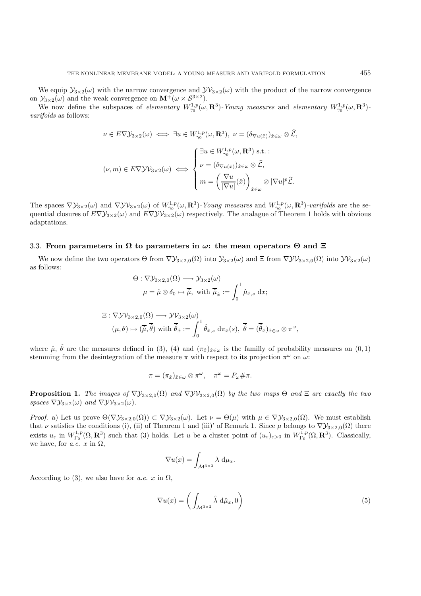We equip  $\mathcal{Y}_{3\times2}(\omega)$  with the narrow convergence and  $\mathcal{Y}\mathcal{Y}_{3\times2}(\omega)$  with the product of the narrow convergence on  $\mathcal{Y}_{3\times 2}(\omega)$  and the weak convergence on  $\mathbf{M}^+(\omega\times\mathcal{S}^{3\times 2})$ .

We now define the subspaces of *elementary*  $W_{\gamma_0}^{1,p}(\omega, \mathbf{R}^3)$ -Young measures and *elementary*  $W_{\gamma_0}^{1,p}(\omega, \mathbf{R}^3)$ *varifolds* as follows:

$$
\nu \in E \nabla \mathcal{Y}_{3 \times 2}(\omega) \iff \exists u \in W_{\gamma_0}^{1,p}(\omega, \mathbf{R}^3), \ \nu = (\delta_{\nabla u(\hat{x})})_{\hat{x} \in \omega} \otimes \widehat{\mathcal{L}},
$$

$$
(\nu, m) \in E \nabla \mathcal{Y} \mathcal{Y}_{3 \times 2}(\omega) \iff \begin{cases} \exists u \in W_{\gamma_0}^{1,p}(\omega, \mathbf{R}^3) \text{ s.t. :} \\ \nu = (\delta_{\nabla u(\hat{x})})_{\hat{x} \in \omega} \otimes \widehat{\mathcal{L}}, \\ m = \left(\frac{\nabla u}{|\nabla u|}(\hat{x})\right)_{\hat{x} \in \omega} \otimes |\nabla u|^p \widehat{\mathcal{L}}. \end{cases}
$$

The spaces  $\nabla \mathcal{Y}_{3\times2}(\omega)$  and  $\nabla \mathcal{Y}_{3\times2}(\omega)$  of  $W^{1,p}_{\gamma_0}(\omega,\mathbf{R}^3)$ -*Young measures* and  $W^{1,p}_{\gamma_0}(\omega,\mathbf{R}^3)$ -varifolds are the sequential closures of  $E\nabla \mathcal{Y}_{3\times2}(\omega)$  and  $E\nabla \mathcal{Y}_{3\times2}(\omega)$  respectively. The analague of Theorem 1 holds with obvious adaptations.

#### 3.3. **From parameters in Ω to parameters in** *ω***: the mean operators Θ and Ξ**

We now define the two operators  $\Theta$  from  $\nabla \mathcal{Y}_{3\times2,0}(\Omega)$  into  $\mathcal{Y}_{3\times2,0}(\Omega)$  and  $\Xi$  from  $\nabla \mathcal{Y}_{3\times2,0}(\Omega)$  into  $\mathcal{Y}\mathcal{Y}_{3\times2}(\omega)$ as follows:

$$
\Theta: \nabla \mathcal{Y}_{3 \times 2,0}(\Omega) \longrightarrow \mathcal{Y}_{3 \times 2}(\omega)
$$

$$
\mu = \hat{\mu} \otimes \delta_0 \mapsto \overline{\hat{\mu}}, \text{ with } \overline{\hat{\mu}}_{\hat{x}} := \int_0^1 \hat{\mu}_{\hat{x},s} \, \, \mathrm{d}x;
$$

$$
\Xi: \nabla \mathcal{Y}\mathcal{V}_{3\times 2,0}(\Omega)\longrightarrow \mathcal{Y}\mathcal{V}_{3\times 2}(\omega) (\mu,\theta)\mapsto (\overline{\hat\mu},\overline{\hat\theta})\,\,\mathrm{with}\,\,\overline{\hat\theta}_{\hat x}:=\int_0^1\hat\theta_{\hat x,s}\,\,\mathrm{d}\pi_{\hat x}(s),\,\,\overline{\hat\theta}=(\overline{\hat\theta}_{\hat x})_{\hat x\in\omega}\otimes\pi^\omega,
$$

where  $\hat{\mu}$ ,  $\hat{\theta}$  are the measures defined in (3), (4) and  $(\pi_{\hat{x}})_{\hat{x}\in\omega}$  is the familly of probability measures on (0, 1) stemming from the desintegration of the measure  $\pi$  with respect to its projection  $\pi^{\omega}$  on  $\omega$ :

$$
\pi = (\pi_{\hat{x}})_{\hat{x}\in\omega}\otimes\pi^{\omega}, \quad \pi^{\omega} = P_{\omega} \#\pi.
$$

**Proposition 1.** *The images of*  $\nabla y_{3\times 2,0}(\Omega)$  *and*  $\nabla y_{3\times 2,0}(\Omega)$  *by the two maps*  $\Theta$  *and*  $\Xi$  *are exactly the two spaces*  $\nabla \mathcal{Y}_{3\times 2}(\omega)$  *and*  $\nabla \mathcal{Y}_{3\times 2}(\omega)$ *.* 

*Proof.* a) Let us prove  $\Theta(\nabla \mathcal{Y}_{3\times 2,0}(\Omega)) \subset \nabla \mathcal{Y}_{3\times 2}(\omega)$ . Let  $\nu = \Theta(\mu)$  with  $\mu \in \nabla \mathcal{Y}_{3\times 2,0}(\Omega)$ . We must establish that  $\nu$  satisfies the conditions (i), (ii) of Theorem 1 and (iii)' of Remark 1. Since  $\mu$  belongs to  $\nabla \mathcal{Y}_{3\times 2,0}(\Omega)$  there exists  $u_{\varepsilon}$  in  $W_{\Gamma_0}^{1,p}(\Omega, \mathbf{R}^3)$  such that (3) holds. Let u be a cluster point of  $(u_{\varepsilon})_{\varepsilon>0}$  in  $W_{\Gamma_0}^{1,p}(\Omega, \mathbf{R}^3)$ . Classically, we have, for  $a.e. x$  in  $\Omega$ ,

$$
\nabla u(x) = \int_{\mathcal{M}^{3\times 3}} \lambda \, \mathrm{d}\mu_x.
$$

According to (3), we also have for *a.e.* x in  $\Omega$ ,

$$
\nabla u(x) = \left(\int_{\mathcal{M}^{3\times 2}} \hat{\lambda} \, d\hat{\mu}_x, 0\right) \tag{5}
$$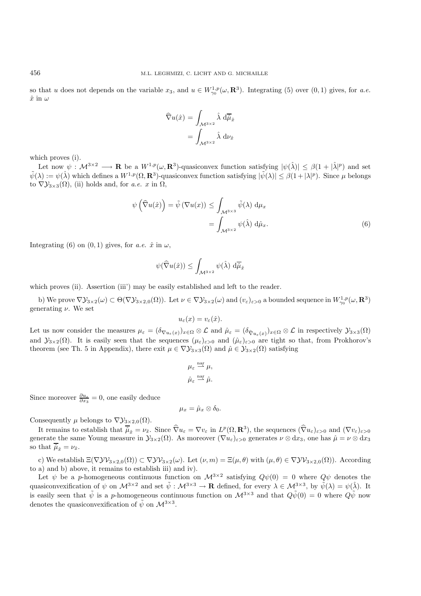so that u does not depends on the variable  $x_3$ , and  $u \in W^{1,p}_{\gamma_0}(\omega, \mathbf{R}^3)$ . Integrating (5) over  $(0,1)$  gives, for *a.e.*  $\hat{x}$  in  $\omega$ 

$$
\widehat{\nabla}u(\hat{x}) = \int_{\mathcal{M}^{3\times 2}} \hat{\lambda} \, d\overline{\hat{\mu}}_{\hat{x}}
$$

$$
= \int_{\mathcal{M}^{3\times 2}} \hat{\lambda} \, d\nu_{\hat{x}}
$$

which proves (i).

Let now  $\psi : \mathcal{M}^{3\times 2} \longrightarrow \mathbf{R}$  be a  $W^{1,p}(\omega,\mathbf{R}^3)$ -quasiconvex function satisfying  $|\psi(\hat{\lambda})| \leq \beta(1+|\hat{\lambda}|^p)$  and set  $\tilde{\psi}(\lambda) := \psi(\hat{\lambda})$  which defines a  $W^{1,p}(\Omega, \mathbf{R}^3)$ -quasiconvex function satisfying  $|\tilde{\psi}(\lambda)| \leq \beta(1+|\lambda|^p)$ . Since  $\mu$  belongs to  $\nabla \mathcal{Y}_{3\times 3}(\Omega)$ , (ii) holds and, for *a.e.* x in  $\Omega$ ,

$$
\psi\left(\widehat{\nabla}u(\hat{x})\right) = \tilde{\psi}\left(\nabla u(x)\right) \le \int_{\mathcal{M}^{3\times 3}} \tilde{\psi}(\lambda) d\mu_x
$$

$$
= \int_{\mathcal{M}^{3\times 2}} \psi(\hat{\lambda}) d\hat{\mu}_x.
$$
(6)

Integrating (6) on  $(0, 1)$  gives, for *a.e.*  $\hat{x}$  in  $\omega$ ,

$$
\psi(\widehat{\nabla}u(\hat{x})) \leq \int_{\mathcal{M}^{3 \times 2}} \psi(\hat{\lambda}) \; \mathrm{d}\overline{\hat{\mu}}_{\hat{x}}
$$

which proves (ii). Assertion (iii') may be easily established and left to the reader.

b) We prove  $\nabla \mathcal{Y}_{3\times 2}(\omega) \subset \Theta(\nabla \mathcal{Y}_{3\times 2,0}(\Omega))$ . Let  $\nu \in \nabla \mathcal{Y}_{3\times 2}(\omega)$  and  $(v_{\varepsilon})_{\varepsilon>0}$  a bounded sequence in  $W^{1,p}_{\gamma_0}(\omega,\mathbf{R}^3)$ generating  $\nu$ . We set

$$
u_{\varepsilon}(x) = v_{\varepsilon}(\hat{x}).
$$

Let us now consider the measures  $\mu_{\varepsilon} = (\delta_{\nabla u_{\varepsilon}(x)})_{x \in \Omega} \otimes \mathcal{L}$  and  $\hat{\mu}_{\varepsilon} = (\delta_{\hat{\nabla} u_{\varepsilon}(x)})_{x \in \Omega} \otimes \mathcal{L}$  in respectively  $\mathcal{Y}_{3 \times 3}(\Omega)$ and  $\mathcal{Y}_{3\times2}(\Omega)$ . It is easily seen that the sequences  $(\mu_{\varepsilon})_{\varepsilon>0}$  and  $(\hat{\mu}_{\varepsilon})_{\varepsilon>0}$  are tight so that, from Prokhorov's theorem (see Th. 5 in Appendix), there exit  $\mu \in \nabla \mathcal{Y}_{3\times 3}(\Omega)$  and  $\hat{\mu} \in \mathcal{Y}_{3\times 2}(\Omega)$  satisfying

$$
\mu_{\varepsilon} \stackrel{\text{nar}}{\rightharpoonup} \mu,
$$
  

$$
\hat{\mu}_{\varepsilon} \stackrel{\text{nar}}{\rightharpoonup} \hat{\mu}.
$$

Since moreover  $\frac{\partial u_{\varepsilon}}{\partial x_3} = 0$ , one easily deduce

$$
\mu_x = \hat{\mu}_x \otimes \delta_0.
$$

Consequently  $\mu$  belongs to  $\nabla \mathcal{Y}_{3\times 2,0}(\Omega)$ .

It remains to establish that  $\overline{\hat{\mu}}_{\hat{x}} = \nu_{\hat{x}}$ . Since  $\widehat{\nabla} u_{\varepsilon} = \nabla v_{\varepsilon}$  in  $L^p(\Omega, \mathbf{R}^3)$ , the sequences  $(\widehat{\nabla} u_{\varepsilon})_{\varepsilon>0}$  and  $(\nabla v_{\varepsilon})_{\varepsilon>0}$ generate the same Young measure in  $\mathcal{Y}_{3\times 2}(\Omega)$ . As moreover  $(\nabla u_{\varepsilon})_{\varepsilon>0}$  generates  $\nu \otimes dx_3$ , one has  $\hat{\mu} = \nu \otimes dx_3$ so that  $\overline{\hat{\mu}}_{\hat{x}} = \nu_{\hat{x}}$ .

c) We establish  $\Xi(\nabla y \mathcal{V}_{3\times2,0}(\Omega)) \subset \nabla y \mathcal{V}_{3\times2}(\omega)$ . Let  $(\nu,m) = \Xi(\mu,\theta)$  with  $(\mu,\theta) \in \nabla y \mathcal{V}_{3\times2,0}(\Omega)$ . According to a) and b) above, it remains to establish iii) and iv).

Let  $\psi$  be a p-homogeneous continuous function on  $\mathcal{M}^{3\times 2}$  satisfying  $Q\psi(0) = 0$  where  $Q\psi$  denotes the quasiconvexification of  $\psi$  on  $\mathcal{M}^{3\times 2}$  and set  $\tilde{\psi}: \mathcal{M}^{3\times 3} \to \mathbf{R}$  defined, for every  $\lambda \in \mathcal{M}^{3\times 3}$ , by  $\tilde{\psi}(\lambda) = \psi(\hat{\lambda})$ . It is easily seen that  $\tilde{\psi}$  is a p-homogeneous continuous function on  $\mathcal{M}^{3\times3}$  and that  $Q\tilde{\psi}(0) = 0$  where  $Q\tilde{\psi}$  now denotes the quasiconvexification of  $\tilde{\psi}$  on  $\mathcal{M}^{3\times3}$ .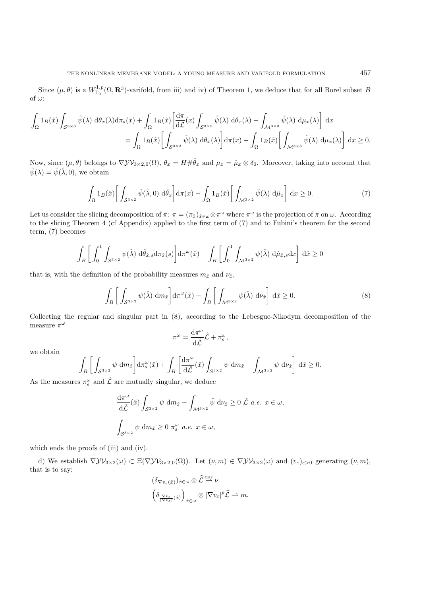Since  $(\mu, \theta)$  is a  $W^{1,p}_{\Gamma_0}(\Omega, \mathbf{R}^3)$ -varifold, from iii) and iv) of Theorem 1, we deduce that for all Borel subset B of  $\omega$ :

$$
\int_{\Omega} 1_B(\hat{x}) \int_{\mathcal{S}^{3\times 3}} \tilde{\psi}(\lambda) d\theta_x(\lambda) d\pi_s(x) + \int_{\Omega} 1_B(\hat{x}) \left[ \frac{d\pi}{d\mathcal{L}}(x) \int_{\mathcal{S}^{3\times 3}} \tilde{\psi}(\lambda) d\theta_x(\lambda) - \int_{\mathcal{M}^{3\times 3}} \tilde{\psi}(\lambda) d\mu_x(\lambda) \right] dx
$$
  
= 
$$
\int_{\Omega} 1_B(\hat{x}) \left[ \int_{\mathcal{S}^{3\times 3}} \tilde{\psi}(\lambda) d\theta_x(\lambda) \right] d\pi(x) - \int_{\Omega} 1_B(\hat{x}) \left[ \int_{\mathcal{M}^{3\times 3}} \tilde{\psi}(\lambda) d\mu_x(\lambda) \right] dx \ge 0.
$$

Now, since  $(\mu, \theta)$  belongs to  $\nabla \mathcal{Y} \mathcal{V}_{3 \times 2,0}(\Omega)$ ,  $\theta_x = H \# \hat{\theta}_x$  and  $\mu_x = \hat{\mu}_x \otimes \delta_0$ . Moreover, taking into account that  $\tilde{\psi}(\lambda) = \tilde{\psi}(\hat{\lambda}, 0)$ , we obtain

$$
\int_{\Omega} 1_B(\hat{x}) \left[ \int_{\mathcal{S}^{3\times 2}} \tilde{\psi}(\hat{\lambda}, 0) \, d\hat{\theta}_x \right] d\pi(x) - \int_{\Omega} 1_B(\hat{x}) \left[ \int_{\mathcal{M}^{3\times 2}} \tilde{\psi}(\lambda) \, d\hat{\mu}_x \right] dx \ge 0. \tag{7}
$$

Let us consider the slicing decomposition of  $\pi: \pi = (\pi_{\hat{x}})_{\hat{x} \in \omega} \otimes \pi^{\omega}$  where  $\pi^{\omega}$  is the projection of  $\pi$  on  $\omega$ . According to the slicing Theorem 4 (cf Appendix) applied to the first term of (7) and to Fubini's theorem for the second term, (7) becomes

$$
\int_{B} \left[ \int_{0}^{1} \int_{\mathcal{S}^{3\times 2}} \psi(\hat{\lambda}) \, d\hat{\theta}_{\hat{x},s} d\pi_{\hat{x}}(s) \right] d\pi^{\omega}(\hat{x}) - \int_{B} \left[ \int_{0}^{1} \int_{\mathcal{M}^{3\times 2}} \psi(\hat{\lambda}) \, d\hat{\mu}_{\hat{x},s} dx \right] d\hat{x} \ge 0
$$

that is, with the definition of the probability measures  $m_{\hat{x}}$  and  $\nu_{\hat{x}}$ ,

$$
\int_{B} \left[ \int_{\mathcal{S}^{3\times 2}} \psi(\hat{\lambda}) \, \mathrm{d}m_{\hat{x}} \right] \mathrm{d}\pi^{\omega}(\hat{x}) - \int_{B} \left[ \int_{\mathcal{M}^{3\times 2}} \psi(\hat{\lambda}) \, \mathrm{d}\nu_{\hat{x}} \right] \mathrm{d}\hat{x} \ge 0. \tag{8}
$$

Collecting the regular and singular part in (8), according to the Lebesgue-Nikodym decomposition of the measure  $\pi^\omega$ 

$$
\pi^{\omega} = \frac{\mathrm{d}\pi^{\omega}}{\mathrm{d}\hat{\mathcal{L}}}\hat{\mathcal{L}} + \pi_s^{\omega},
$$

we obtain

$$
\int_{B}\bigg[\int_{\mathcal{S}^{3\times 2}}\psi\;\mathrm{d} m_{\hat{x}}\bigg]\mathrm{d} \pi_{s}^{\omega}(\hat{x})+\int_{B}\bigg[\frac{\mathrm{d} \pi^{\omega}}{\mathrm{d} \hat{\mathcal{L}}}(\hat{x})\int_{\mathcal{S}^{3\times 2}}\psi\;\mathrm{d} m_{\hat{x}}-\int_{\mathcal{M}^{3\times 2}}\psi\;\mathrm{d} \nu_{\hat{x}}\bigg]\;\mathrm{d} \hat{x}\geq 0.
$$

As the measures  $\pi_s^{\omega}$  and  $\hat{\mathcal{L}}$  are mutually singular, we deduce

$$
\frac{d\pi^{\omega}}{d\hat{\mathcal{L}}}(\hat{x}) \int_{\mathcal{S}^{3\times 2}} \psi \, dm_{\hat{x}} - \int_{\mathcal{M}^{3\times 2}} \tilde{\psi} \, d\nu_{\hat{x}} \ge 0 \, \hat{\mathcal{L}} \, a.e. \, x \in \omega,
$$
  

$$
\int_{\mathcal{S}^{3\times 2}} \psi \, dm_{\hat{x}} \ge 0 \, \pi_s^{\omega} \, a.e. \, x \in \omega,
$$

which ends the proofs of (iii) and (iv).

d) We establish  $\nabla \mathcal{Y} \mathcal{Y}_{3 \times 2}(\omega) \subset \Xi(\nabla \mathcal{Y} \mathcal{Y}_{3 \times 2,0}(\Omega))$ . Let  $(\nu, m) \in \nabla \mathcal{Y} \mathcal{Y}_{3 \times 2}(\omega)$  and  $(v_{\varepsilon})_{\varepsilon > 0}$  generating  $(\nu, m)$ , that is to say:

$$
\begin{aligned} & (\delta_{\nabla v_{\varepsilon}(\hat{x})})_{\hat{x}\in\omega}\otimes\hat{\mathcal{L}}\stackrel{\text{nar}}{\rightharpoonup}\nu\\ & \left(\delta_{\frac{\nabla v_{\varepsilon}}{|\nabla v_{\varepsilon}|}(\hat{x})}\right)_{\hat{x}\in\omega}\otimes|\nabla v_{\varepsilon}|^p\hat{\mathcal{L}}\rightharpoonup m.\end{aligned}
$$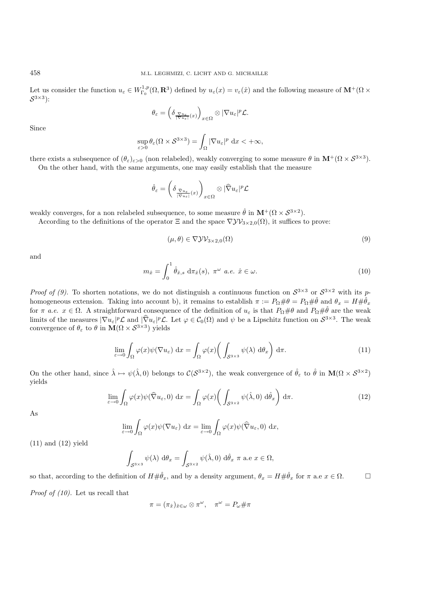Let us consider the function  $u_{\varepsilon} \in W^{1,p}_{\Gamma_0}(\Omega, \mathbf{R}^3)$  defined by  $u_{\varepsilon}(x) = v_{\varepsilon}(\hat{x})$  and the following measure of  $\mathbf{M}^+(\Omega \times$  $\mathcal{S}^{3\times 3}$ :

$$
\theta_{\varepsilon} = \left( \delta \frac{\nabla u_{\varepsilon}}{\left| \nabla u_{\varepsilon} \right|} (x) \right)_{x \in \Omega} \otimes |\nabla u_{\varepsilon}|^p \mathcal{L}.
$$

Since

$$
\sup_{\varepsilon>0}\theta_{\varepsilon}(\Omega\times\mathcal{S}^{3\times3})=\int_{\Omega}|\nabla u_{\varepsilon}|^p\mathrm{~d}x<+\infty,
$$

there exists a subsequence of  $(\theta_{\varepsilon})_{\varepsilon>0}$  (non relabeled), weakly converging to some measure  $\theta$  in  $\mathbf{M}^+(\Omega \times \mathcal{S}^{3\times 3})$ . On the other hand, with the same arguments, one may easily establish that the measure

$$
\hat{\theta}_{\varepsilon} = \left(\delta_{\frac{\bar{\nabla}u_{\varepsilon}}{|\bar{\nabla}u_{\varepsilon}|}(x)}\right)_{x \in \Omega} \otimes |\widehat{\nabla}u_{\varepsilon}|^p \mathcal{L}
$$

weakly converges, for a non relabeled subsequence, to some measure  $\hat{\theta}$  in  $\mathbf{M}^+(\Omega \times \mathcal{S}^{3\times 2})$ .

According to the definitions of the operator  $\Xi$  and the space  $\nabla \mathcal{Y} \mathcal{V}_{3 \times 2,0}(\Omega)$ , it suffices to prove:

$$
(\mu, \theta) \in \nabla \mathcal{Y} \mathcal{V}_{3 \times 2,0}(\Omega) \tag{9}
$$

and

$$
m_{\hat{x}} = \int_0^1 \hat{\theta}_{\hat{x},s} \, d\pi_{\hat{x}}(s), \ \pi^\omega \ a.e. \ \hat{x} \in \omega.
$$
 (10)

*Proof of (9).* To shorten notations, we do not distinguish a continuous function on  $S^{3\times 3}$  or  $S^{3\times 2}$  with its phomogeneous extension. Taking into account b), it remains to establish  $\pi := P_{\Omega} \# \theta = P_{\Omega} \# \hat{\theta}$  and  $\theta_x = H \# \hat{\theta}_x$ for  $\pi$  *a.e.*  $x \in \Omega$ . A straightforward consequence of the definition of  $u_{\varepsilon}$  is that  $P_{\Omega} \# \theta$  and  $P_{\Omega} \# \hat{\theta}$  are the weak limits of the measures  $|\nabla u_{\varepsilon}|^p \mathcal{L}$  and  $|\hat{\nabla} u_{\varepsilon}|^p \mathcal{L}$ . Let  $\varphi \in \mathcal{C}_0(\Omega)$  and  $\psi$  be a Lipschitz function on  $\mathcal{S}^{3\times 3}$ . The weak convergence of  $\theta_{\varepsilon}$  to  $\theta$  in  $\mathbf{M}(\Omega \times S^{3\times3})$  yields

$$
\lim_{\varepsilon \to 0} \int_{\Omega} \varphi(x) \psi(\nabla u_{\varepsilon}) dx = \int_{\Omega} \varphi(x) \left( \int_{\mathcal{S}^{3 \times 3}} \psi(\lambda) d\theta_x \right) d\pi.
$$
 (11)

On the other hand, since  $\hat{\lambda} \mapsto \psi(\hat{\lambda}, 0)$  belongs to  $\mathcal{C}(\mathcal{S}^{3\times 2})$ , the weak convergence of  $\hat{\theta}_{\varepsilon}$  to  $\hat{\theta}$  in  $\mathbf{M}(\Omega \times \mathcal{S}^{3\times 2})$ yields

$$
\lim_{\varepsilon \to 0} \int_{\Omega} \varphi(x) \psi(\widehat{\nabla} u_{\varepsilon}, 0) dx = \int_{\Omega} \varphi(x) \bigg( \int_{\mathcal{S}^{3 \times 2}} \psi(\widehat{\lambda}, 0) d\widehat{\theta}_x \bigg) d\pi.
$$
 (12)

As

$$
\lim_{\varepsilon \to 0} \int_{\Omega} \varphi(x) \psi(\nabla u_{\varepsilon}) dx = \lim_{\varepsilon \to 0} \int_{\Omega} \varphi(x) \psi(\widehat{\nabla} u_{\varepsilon}, 0) dx,
$$

(11) and (12) yield

$$
\int_{\mathcal{S}^{3\times 3}} \psi(\lambda) \, d\theta_x = \int_{\mathcal{S}^{3\times 2}} \psi(\hat{\lambda}, 0) \, d\hat{\theta}_x \, \pi \text{ a.e } x \in \Omega,
$$

so that, according to the definition of  $H \# \hat{\theta}_x$ , and by a density argument,  $\theta_x = H \# \hat{\theta}_x$  for  $\pi$  a.e  $x \in \Omega$ .

*Proof of (10).* Let us recall that

$$
\pi = (\pi_{\hat{x}})_{\hat{x}\in\omega}\otimes\pi^\omega, \quad \pi^\omega = P_\omega\#\pi
$$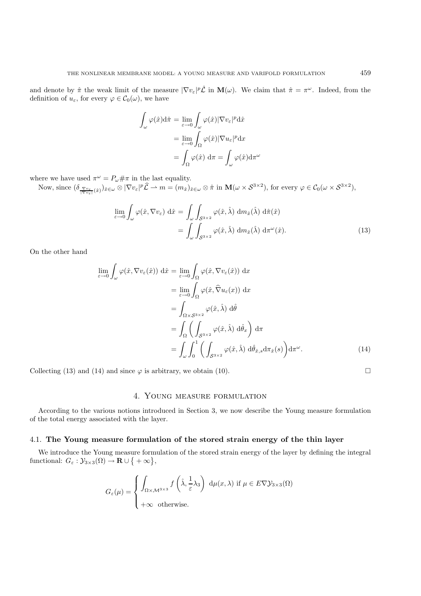and denote by  $\hat{\pi}$  the weak limit of the measure  $|\nabla v_{\varepsilon}|^p \hat{\mathcal{L}}$  in  $\mathbf{M}(\omega)$ . We claim that  $\hat{\pi} = \pi^{\omega}$ . Indeed, from the definition of  $u_{\varepsilon}$ , for every  $\varphi \in C_0(\omega)$ , we have

$$
\int_{\omega} \varphi(\hat{x}) d\hat{\pi} = \lim_{\varepsilon \to 0} \int_{\omega} \varphi(\hat{x}) |\nabla v_{\varepsilon}|^p d\hat{x}
$$

$$
= \lim_{\varepsilon \to 0} \int_{\Omega} \varphi(\hat{x}) |\nabla u_{\varepsilon}|^p d x
$$

$$
= \int_{\Omega} \varphi(\hat{x}) d\pi = \int_{\omega} \varphi(\hat{x}) d\pi^{\omega}
$$

where we have used  $\pi^{\omega} = P_{\omega} \# \pi$  in the last equality.

Now, since  $(\delta_{\frac{\nabla v_{\varepsilon}}{|\nabla v_{\varepsilon}|}(\hat{x})})_{\hat{x}\in\omega}\otimes|\nabla v_{\varepsilon}|^p\hat{\mathcal{L}}\to m=(m_{\hat{x}})_{\hat{x}\in\omega}\otimes\hat{\pi}$  in  $\mathbf{M}(\omega\times\mathcal{S}^{3\times2})$ , for every  $\varphi\in\mathcal{C}_0(\omega\times\mathcal{S}^{3\times2})$ ,

$$
\lim_{\varepsilon \to 0} \int_{\omega} \varphi(\hat{x}, \nabla v_{\varepsilon}) d\hat{x} = \int_{\omega} \int_{\mathcal{S}^{3 \times 2}} \varphi(\hat{x}, \hat{\lambda}) d\hat{m}_{\hat{x}}(\hat{\lambda}) d\hat{\pi}(\hat{x})
$$

$$
= \int_{\omega} \int_{\mathcal{S}^{3 \times 2}} \varphi(\hat{x}, \hat{\lambda}) d\hat{m}_{\hat{x}}(\hat{\lambda}) d\pi^{\omega}(\hat{x}). \tag{13}
$$

On the other hand

$$
\lim_{\varepsilon \to 0} \int_{\omega} \varphi(\hat{x}, \nabla v_{\varepsilon}(\hat{x})) d\hat{x} = \lim_{\varepsilon \to 0} \int_{\Omega} \varphi(\hat{x}, \nabla v_{\varepsilon}(\hat{x})) dx
$$
\n
$$
= \lim_{\varepsilon \to 0} \int_{\Omega} \varphi(\hat{x}, \hat{\nabla} u_{\varepsilon}(x)) dx
$$
\n
$$
= \int_{\Omega \times S^{3 \times 2}} \varphi(\hat{x}, \hat{\lambda}) d\hat{\theta}
$$
\n
$$
= \int_{\Omega} \left( \int_{S^{3 \times 2}} \varphi(\hat{x}, \hat{\lambda}) d\hat{\theta}_{x} \right) d\pi
$$
\n
$$
= \int_{\omega} \int_{0}^{1} \left( \int_{S^{3 \times 2}} \varphi(\hat{x}, \hat{\lambda}) d\hat{\theta}_{\hat{x}, s} d\pi_{\hat{x}}(s) \right) d\pi^{\omega}.
$$
\n(14)

Collecting (13) and (14) and since  $\varphi$  is arbitrary, we obtain (10).

## 4. Young measure formulation

According to the various notions introduced in Section 3, we now describe the Young measure formulation of the total energy associated with the layer.

## 4.1. **The Young measure formulation of the stored strain energy of the thin layer**

We introduce the Young measure formulation of the stored strain energy of the layer by defining the integral functional:  $G_{\varepsilon}: \mathcal{Y}_{3\times 3}(\Omega) \to \mathbf{R} \cup \{ +\infty \},\$ 

$$
G_{\varepsilon}(\mu) = \begin{cases} \int_{\Omega \times \mathcal{M}^{3 \times 3}} f\left(\hat{\lambda}, \frac{1}{\varepsilon} \lambda_3\right) \, \mathrm{d}\mu(x, \lambda) \text{ if } \mu \in E \nabla \mathcal{Y}_{3 \times 3}(\Omega) \\ +\infty \text{ otherwise.} \end{cases}
$$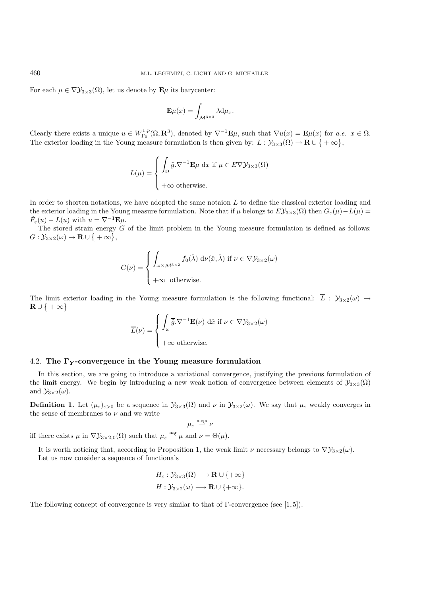For each  $\mu \in \nabla \mathcal{Y}_{3\times 3}(\Omega)$ , let us denote by  $\mathbf{E}\mu$  its barycenter:

$$
\mathbf{E}\mu(x) = \int_{\mathcal{M}^{3\times 3}} \lambda \mathrm{d}\mu_x.
$$

Clearly there exists a unique  $u \in W^{1,p}_{\Gamma_0}(\Omega, \mathbf{R}^3)$ , denoted by  $\nabla^{-1}\mathbf{E}\mu$ , such that  $\nabla u(x) = \mathbf{E}\mu(x)$  for *a.e.*  $x \in \Omega$ . The exterior loading in the Young measure formulation is then given by:  $L: \mathcal{Y}_{3\times 3}(\Omega) \to \mathbf{R} \cup \{ +\infty \},$ 

$$
L(\mu) = \begin{cases} \int_{\Omega} \tilde{g} . \nabla^{-1} \mathbf{E} \mu \, dx \text{ if } \mu \in E \nabla \mathcal{Y}_{3 \times 3}(\Omega) \\ +\infty \text{ otherwise.} \end{cases}
$$

In order to shorten notations, we have adopted the same notaion  $L$  to define the classical exterior loading and the exterior loading in the Young measure formulation. Note that if  $\mu$  belongs to  $EY_{3\times 3}(\Omega)$  then  $G_{\varepsilon}(\mu) - L(\mu) =$  $\tilde{F}_{\varepsilon}(u) - L(u)$  with  $u = \nabla^{-1} \mathbf{E} \mu$ .

The stored strain energy  $G$  of the limit problem in the Young measure formulation is defined as follows:  $G: \mathcal{Y}_{3\times 2}(\omega) \rightarrow \mathbf{R} \cup \{ +\infty \},\$ 

$$
G(\nu) = \begin{cases} \int_{\omega \times \mathcal{M}^{3 \times 2}} f_0(\hat{\lambda}) \, d\nu(\hat{x}, \hat{\lambda}) \text{ if } \nu \in \nabla \mathcal{Y}_{3 \times 2}(\omega) \\ +\infty \text{ otherwise.} \end{cases}
$$

The limit exterior loading in the Young measure formulation is the following functional:  $\overline{L}$ :  $\mathcal{Y}_{3\times2}(\omega) \rightarrow$  $\mathbf{R} \cup \set{ + \infty }$ 

$$
\overline{L}(\nu) = \begin{cases} \int_{\omega} \overline{\tilde{g}} \cdot \nabla^{-1} \mathbf{E}(\nu) \, d\hat{x} \text{ if } \nu \in \nabla \mathcal{Y}_{3 \times 2}(\omega) \\ +\infty \text{ otherwise.} \end{cases}
$$

## 4.2. **The Γ***<sup>Y</sup>* **-convergence in the Young measure formulation**

In this section, we are going to introduce a variational convergence, justifying the previous formulation of the limit energy. We begin by introducing a new weak notion of convergence between elements of  $\mathcal{Y}_{3\times3}(\Omega)$ and  $\mathcal{Y}_{3\times 2}(\omega)$ .

**Definition 1.** Let  $(\mu_{\varepsilon})_{\varepsilon>0}$  be a sequence in  $\mathcal{Y}_{3\times3}(\Omega)$  and  $\nu$  in  $\mathcal{Y}_{3\times2}(\omega)$ . We say that  $\mu_{\varepsilon}$  weakly converges in the sense of membranes to  $\nu$  and we write

$$
\mu_\varepsilon\stackrel{\rm mem}{\rightharpoonup}\nu
$$

iff there exists  $\mu$  in  $\nabla \mathcal{Y}_{3\times 2,0}(\Omega)$  such that  $\mu_{\varepsilon} \stackrel{\text{nar}}{\longrightarrow} \mu$  and  $\nu = \Theta(\mu)$ .

It is worth noticing that, according to Proposition 1, the weak limit  $\nu$  necessary belongs to  $\nabla \mathcal{Y}_{3\times 2}(\omega)$ . Let us now consider a sequence of functionals

$$
H_{\varepsilon}: \mathcal{Y}_{3\times 3}(\Omega) \longrightarrow \mathbf{R} \cup \{+\infty\}
$$
  

$$
H: \mathcal{Y}_{3\times 2}(\omega) \longrightarrow \mathbf{R} \cup \{+\infty\}.
$$

The following concept of convergence is very similar to that of  $\Gamma$ -convergence (see [1,5]).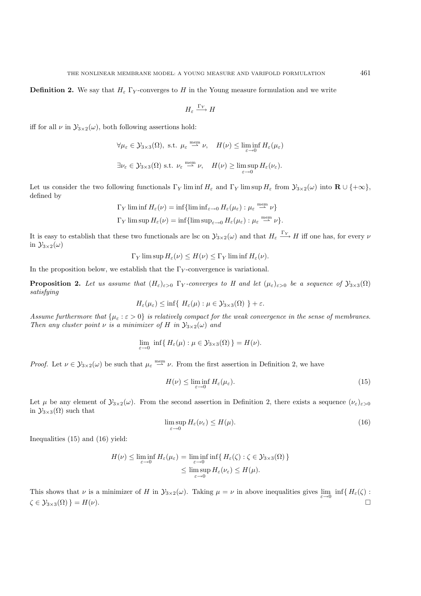$$
H_{\varepsilon} \xrightarrow{\Gamma_Y} H
$$

iff for all  $\nu$  in  $\mathcal{Y}_{3\times2}(\omega)$ , both following assertions hold:

$$
\forall \mu_{\varepsilon} \in \mathcal{Y}_{3\times 3}(\Omega), \text{ s.t. } \mu_{\varepsilon} \stackrel{\text{mem}}{\rightharpoonup} \nu, \quad H(\nu) \le \liminf_{\varepsilon \to 0} H_{\varepsilon}(\mu_{\varepsilon})
$$
  

$$
\exists \nu_{\varepsilon} \in \mathcal{Y}_{3\times 3}(\Omega) \text{ s.t. } \nu_{\varepsilon} \stackrel{\text{mem}}{\rightharpoonup} \nu, \quad H(\nu) \ge \limsup_{\varepsilon \to 0} H_{\varepsilon}(\nu_{\varepsilon}).
$$

Let us consider the two following functionals  $\Gamma_Y$  lim inf  $H_\varepsilon$  and  $\Gamma_Y$  lim sup  $H_\varepsilon$  from  $\mathcal{Y}_{3\times 2}(\omega)$  into  $\mathbf{R} \cup \{+\infty\}$ , defined by

$$
\Gamma_Y \liminf H_{\varepsilon}(\nu) = \inf \{ \liminf_{\varepsilon \to 0} H_{\varepsilon}(\mu_{\varepsilon}) : \mu_{\varepsilon} \stackrel{\text{mem}}{\longrightarrow} \nu \}
$$
  

$$
\Gamma_Y \limsup H_{\varepsilon}(\nu) = \inf \{ \limsup_{\varepsilon \to 0} H_{\varepsilon}(\mu_{\varepsilon}) : \mu_{\varepsilon} \stackrel{\text{mem}}{\longrightarrow} \nu \}.
$$

It is easy to establish that these two functionals are lsc on  $\mathcal{Y}_{3\times2}(\omega)$  and that  $H_{\varepsilon} \xrightarrow{\Gamma_Y} H$  iff one has, for every  $\nu$ in  $\mathcal{Y}_{3\times 2}(\omega)$ 

$$
\Gamma_Y
$$
lim sup  $H_{\varepsilon}(\nu) \leq H(\nu) \leq \Gamma_Y$ lim inf  $H_{\varepsilon}(\nu)$ .

In the proposition below, we establish that the  $\Gamma_Y$ -convergence is variational.

**Proposition 2.** Let us assume that  $(H_{\varepsilon})_{\varepsilon>0}$   $\Gamma_Y$ -converges to H and let  $(\mu_{\varepsilon})_{\varepsilon>0}$  be a sequence of  $\mathcal{Y}_{3\times3}(\Omega)$ *satisfying*

$$
H_{\varepsilon}(\mu_{\varepsilon}) \le \inf \{ H_{\varepsilon}(\mu) : \mu \in \mathcal{Y}_{3\times 3}(\Omega) \} + \varepsilon.
$$

*Assume furthermore that*  $\{\mu_{\varepsilon} : \varepsilon > 0\}$  *is relatively compact for the weak convergence in the sense of membranes. Then any cluster point*  $\nu$  *is a minimizer of* H *in*  $\mathcal{Y}_{3\times2}(\omega)$  *and* 

$$
\lim_{\varepsilon \to 0} \inf \{ H_{\varepsilon}(\mu) : \mu \in \mathcal{Y}_{3 \times 3}(\Omega) \} = H(\nu).
$$

*Proof.* Let  $\nu \in \mathcal{Y}_{3\times 2}(\omega)$  be such that  $\mu_{\varepsilon} \stackrel{\text{mem}}{\longrightarrow} \nu$ . From the first assertion in Definition 2, we have

$$
H(\nu) \le \liminf_{\varepsilon \to 0} H_{\varepsilon}(\mu_{\varepsilon}). \tag{15}
$$

Let  $\mu$  be any element of  $\mathcal{Y}_{3\times2}(\omega)$ . From the second assertion in Definition 2, there exists a sequence  $(\nu_{\varepsilon})_{\varepsilon>0}$ in  $\mathcal{Y}_{3\times 3}(\Omega)$  such that

$$
\limsup_{\varepsilon \to 0} H_{\varepsilon}(\nu_{\varepsilon}) \le H(\mu). \tag{16}
$$

Inequalities (15) and (16) yield:

$$
H(\nu) \leq \liminf_{\varepsilon \to 0} H_{\varepsilon}(\mu_{\varepsilon}) = \liminf_{\varepsilon \to 0} \inf \{ H_{\varepsilon}(\zeta) : \zeta \in \mathcal{Y}_{3 \times 3}(\Omega) \}
$$
  

$$
\leq \limsup_{\varepsilon \to 0} H_{\varepsilon}(\nu_{\varepsilon}) \leq H(\mu).
$$

This shows that  $\nu$  is a minimizer of H in  $\mathcal{Y}_{3\times 2}(\omega)$ . Taking  $\mu = \nu$  in above inequalities gives  $\lim_{\varepsilon \to 0} \inf \{ H_{\varepsilon}(\zeta) :$  $\zeta \in \mathcal{Y}_{3\times 3}(\Omega)$  } = H(v).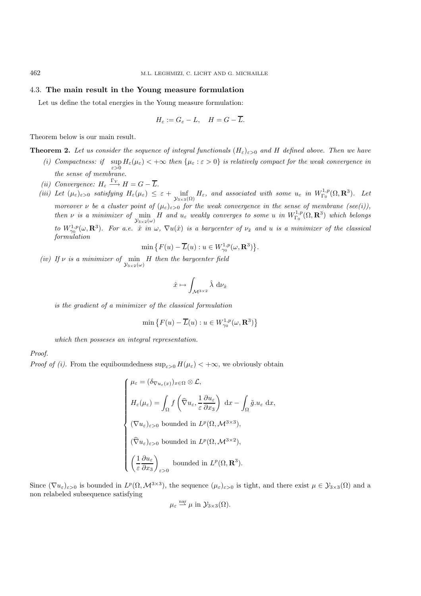## 4.3. **The main result in the Young measure formulation**

Let us define the total energies in the Young measure formulation:

$$
H_{\varepsilon} := G_{\varepsilon} - L, \quad H = G - \overline{L}.
$$

Theorem below is our main result.

**Theorem 2.** Let us consider the sequence of integral functionals  $(H_{\varepsilon})_{\varepsilon>0}$  and H defined above. Then we have

- (*i)* Compactness: if  $\sup_{\varepsilon>0} H_{\varepsilon}(\mu_{\varepsilon}) < +\infty$  then  $\{\mu_{\varepsilon} : \varepsilon > 0\}$  is relatively compact for the weak convergence in *the sense of membrane.*
- *(ii)* Convergence:  $H_{\varepsilon} \xrightarrow{\Gamma_Y} H = G \overline{L}$ .
- (*iii*) Let  $(\mu_{\varepsilon})_{\varepsilon>0}$  *satisfying*  $H_{\varepsilon}(\mu_{\varepsilon}) \leq \varepsilon + \inf_{\mathcal{Y}_{3\times3}(\Omega)}$  $H_{\varepsilon}$ *, and associated with some*  $u_{\varepsilon}$  *in*  $W_{\Gamma_0}^{1,p}(\Omega, \mathbf{R}^3)$ *. Let*

*moreover*  $\nu$  *be a cluster point of*  $(\mu_{\varepsilon})_{\varepsilon>0}$  *for the weak convergence in the sense of membrane (see(i)), then*  $\nu$  *is a minimizer of*  $\min_{\mathcal{Y}_{3\times 2}(\omega)}$  $H$  and  $u_{\varepsilon}$  weakly converges to some u in  $W_{\Gamma_0}^{1,p}(\Omega,\mathbf{R}^3)$  which belongs *to*  $W^{1,p}_{\gamma_0}(\omega, \mathbf{R}^3)$ . For a.e.  $\hat{x}$  *in*  $\omega$ ,  $\nabla u(\hat{x})$  *is a barycenter of*  $\nu_{\hat{x}}$  *and*  $u$  *is a minimizer of the classical formulation*

$$
\min\big\{F(u)-\overline{L}(u):u\in W^{1,p}_{\gamma_0}(\omega,\mathbf{R}^3)\big\}.
$$

*(iv)* If  $\nu$  *is a minimizer of* min *H* then the barycenter field

$$
\hat{x} \mapsto \int_{\mathcal{M}^{3 \times 2}} \hat{\lambda} \, \mathrm{d} \nu_{\hat{x}}
$$

*is the gradient of a minimizer of the classical formulation*

$$
\min\left\{F(u) - \overline{L}(u) : u \in W^{1,p}_{\gamma_0}(\omega,\mathbf{R}^3) \right\}
$$

*which then posseses an integral representation.*

*Proof.*

*Proof of (i).* From the equiboundedness  $\sup_{\varepsilon>0} H(\mu_{\varepsilon}) < +\infty$ , we obviously obtain

$$
\begin{cases}\n\mu_{\varepsilon} = (\delta_{\nabla u_{\varepsilon}(x)})_{x \in \Omega} \otimes \mathcal{L}, \\
H_{\varepsilon}(\mu_{\varepsilon}) = \int_{\Omega} f\left(\hat{\nabla}u_{\varepsilon}, \frac{1}{\varepsilon} \frac{\partial u_{\varepsilon}}{\partial x_{3}}\right) dx - \int_{\Omega} \tilde{g}.u_{\varepsilon} dx, \\
(\nabla u_{\varepsilon})_{\varepsilon > 0} \text{ bounded in } L^{p}(\Omega, \mathcal{M}^{3 \times 3}), \\
(\hat{\nabla}u_{\varepsilon})_{\varepsilon > 0} \text{ bounded in } L^{p}(\Omega, \mathcal{M}^{3 \times 2}), \\
\left(\frac{1}{\varepsilon} \frac{\partial u_{\varepsilon}}{\partial x_{3}}\right)_{\varepsilon > 0} \text{ bounded in } L^{p}(\Omega, \mathbf{R}^{3}).\n\end{cases}
$$

Since  $(\nabla u_{\varepsilon})_{\varepsilon>0}$  is bounded in  $L^p(\Omega, \mathcal{M}^{3\times 3})$ , the sequence  $(\mu_{\varepsilon})_{\varepsilon>0}$  is tight, and there exist  $\mu \in \mathcal{Y}_{3\times 3}(\Omega)$  and a non relabeled subsequence satisfying

$$
\mu_{\varepsilon} \stackrel{\text{nar}}{\rightharpoonup} \mu
$$
 in  $\mathcal{Y}_{3\times 3}(\Omega)$ .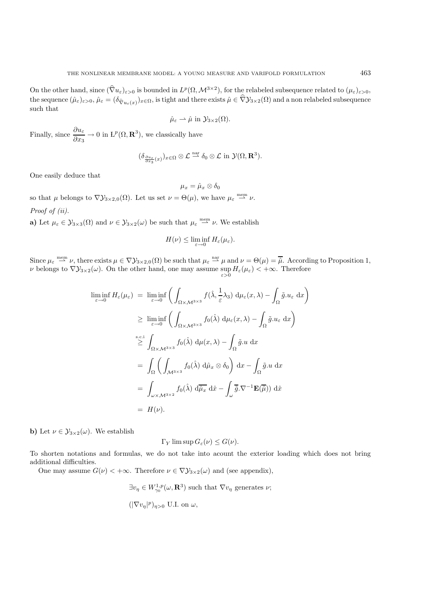On the other hand, since  $(\hat{\nabla}u_{\varepsilon})_{\varepsilon>0}$  is bounded in  $L^p(\Omega, \mathcal{M}^{3\times 2})$ , for the relabeled subsequence related to  $(\mu_{\varepsilon})_{\varepsilon>0}$ , the sequence  $(\hat{\mu}_{\varepsilon})_{\varepsilon>0}, \hat{\mu}_{\varepsilon}=(\delta_{\hat{\nabla}u_{\varepsilon}(x)})_{x\in\Omega}$ , is tight and there exists  $\hat{\mu}\in\hat{\nabla}y_{3\times2}(\Omega)$  and a non relabeled subsequence such that

$$
\hat{\mu}_{\varepsilon} \rightharpoonup \hat{\mu} \text{ in } \mathcal{Y}_{3\times 2}(\Omega).
$$

Finally, since  $\frac{\partial u_{\varepsilon}}{\partial x_3} \to 0$  in  $\mathrm{L}^p(\Omega, \mathbf{R}^3)$ , we classically have

$$
(\delta_{\frac{\partial u_{\varepsilon}}{\partial x_3}(x)})_{x \in \Omega} \otimes \mathcal{L} \stackrel{\text{nar}}{\sim} \delta_0 \otimes \mathcal{L} \text{ in } \mathcal{Y}(\Omega, \mathbf{R}^3).
$$

One easily deduce that

$$
\mu_x = \hat{\mu}_x \otimes \delta_0
$$

so that  $\mu$  belongs to  $\nabla \mathcal{Y}_{3\times 2,0}(\Omega)$ . Let us set  $\nu = \Theta(\mu)$ , we have  $\mu_{\varepsilon} \stackrel{\text{mem}}{\longrightarrow} \nu$ .

*Proof of (ii).*

**a)** Let  $\mu_{\varepsilon} \in \mathcal{Y}_{3\times3}(\Omega)$  and  $\nu \in \mathcal{Y}_{3\times2}(\omega)$  be such that  $\mu_{\varepsilon} \stackrel{\text{mem}}{\longrightarrow} \nu$ . We establish

$$
H(\nu) \leq \liminf_{\varepsilon \to 0} H_{\varepsilon}(\mu_{\varepsilon}).
$$

Since  $\mu_{\varepsilon} \stackrel{\text{mem}}{\longrightarrow} \nu$ , there exists  $\mu \in \nabla \mathcal{Y}_{3 \times 2,0}(\Omega)$  be such that  $\mu_{\varepsilon} \stackrel{\text{nar}}{\longrightarrow} \mu$  and  $\nu = \Theta(\mu) = \overline{\hat{\mu}}$ . According to Proposition 1, v belongs to  $\nabla \mathcal{Y}_{3\times 2}(\omega)$ . On the other hand, one may assume  $\sup_{\varepsilon>0} H_{\varepsilon}(\mu_{\varepsilon}) < +\infty$ . Therefore

$$
\liminf_{\varepsilon \to 0} H_{\varepsilon}(\mu_{\varepsilon}) = \liminf_{\varepsilon \to 0} \left( \int_{\Omega \times M^{3 \times 3}} f(\hat{\lambda}, \frac{1}{\varepsilon} \lambda_3) d\mu_{\varepsilon}(x, \lambda) - \int_{\Omega} \tilde{g} u_{\varepsilon} dx \right)
$$
\n
$$
\geq \liminf_{\varepsilon \to 0} \left( \int_{\Omega \times M^{3 \times 3}} f_0(\hat{\lambda}) d\mu_{\varepsilon}(x, \lambda) - \int_{\Omega} \tilde{g} u_{\varepsilon} dx \right)
$$
\n
$$
\geq \int_{\Omega \times M^{3 \times 3}} f_0(\hat{\lambda}) d\mu(x, \lambda) - \int_{\Omega} \tilde{g} u dx
$$
\n
$$
= \int_{\Omega} \left( \int_{M^{3 \times 3}} f_0(\hat{\lambda}) d\hat{\mu}_x \otimes \delta_0 \right) dx - \int_{\Omega} \tilde{g} u dx
$$
\n
$$
= \int_{\omega \times M^{3 \times 2}} f_0(\hat{\lambda}) d\overline{\hat{\mu}_x} d\hat{x} - \int_{\omega} \overline{\tilde{g}} \cdot \nabla^{-1} \mathbf{E}(\overline{\hat{\mu}}) d\hat{x}
$$
\n
$$
= H(\nu).
$$

**b**) Let  $\nu \in \mathcal{Y}_{3\times 2}(\omega)$ . We establish

$$
\Gamma_Y \limsup G_{\varepsilon}(\nu) \le G(\nu).
$$

To shorten notations and formulas, we do not take into acount the exterior loading which does not bring additional difficulties.

One may assume  $G(\nu) < +\infty$ . Therefore  $\nu \in \nabla \mathcal{Y}_{3\times 2}(\omega)$  and (see appendix),

$$
\exists v_{\eta} \in W_{\gamma_0}^{1,p}(\omega, \mathbf{R}^3)
$$
 such that  $\nabla v_{\eta}$  generates  $\nu$ ;  
\n $(|\nabla v_{\eta}|^p)_{\eta>0}$  U.I. on  $\omega$ ,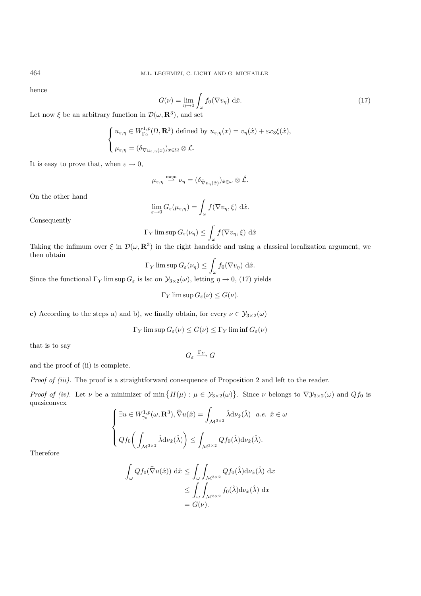hence

$$
G(\nu) = \lim_{\eta \to 0} \int_{\omega} f_0(\nabla v_\eta) \, d\hat{x}.
$$
 (17)

Let now  $\xi$  be an arbitrary function in  $\mathcal{D}(\omega, \mathbf{R}^3)$ , and set

$$
\begin{cases} u_{\varepsilon,\eta} \in W^{1,p}_{\Gamma_0}(\Omega,\mathbf{R}^3) \text{ defined by } u_{\varepsilon,\eta}(x) = v_{\eta}(\hat{x}) + \varepsilon x_3 \xi(\hat{x}), \\ \mu_{\varepsilon,\eta} = (\delta_{\nabla u_{\varepsilon,\eta}(x)})_{x \in \Omega} \otimes \mathcal{L}. \end{cases}
$$

It is easy to prove that, when  $\varepsilon \to 0$ ,

$$
\mu_{\varepsilon,\eta} \stackrel{\text{mem}}{\longrightarrow} \nu_{\eta} = (\delta_{\widehat{\nabla}v_{\eta}(\hat{x})})_{\hat{x}} \in \omega \otimes \hat{\mathcal{L}}.
$$

On the other hand

$$
\lim_{\varepsilon \to 0} G_{\varepsilon}(\mu_{\varepsilon, \eta}) = \int_{\omega} f(\nabla v_{\eta}, \xi) \, d\hat{x}.
$$

Consequently

$$
\Gamma_Y \limsup G_{\varepsilon}(\nu_{\eta}) \le \int_{\omega} f(\nabla v_{\eta}, \xi) d\hat{x}
$$

Taking the infimum over  $\xi$  in  $\mathcal{D}(\omega, \mathbf{R}^3)$  in the right handside and using a classical localization argument, we then obtain

$$
\Gamma_Y \limsup G_{\varepsilon}(\nu_{\eta}) \le \int_{\omega} f_0(\nabla v_{\eta}) \; \mathrm{d}\hat{x}.
$$

Since the functional  $\Gamma_Y$  lim sup  $G_\varepsilon$  is lsc on  $\mathcal{Y}_{3\times 2}(\omega)$ , letting  $\eta \to 0$ , (17) yields

$$
\Gamma_Y \limsup G_{\varepsilon}(\nu) \le G(\nu).
$$

**c)** According to the steps a) and b), we finally obtain, for every  $\nu \in \mathcal{Y}_{3\times2}(\omega)$ 

$$
\Gamma_Y \limsup G_{\varepsilon}(\nu) \le G(\nu) \le \Gamma_Y \liminf G_{\varepsilon}(\nu)
$$

 $G_{\varepsilon} \xrightarrow{\Gamma_Y} G$ 

that is to say

and the proof of (ii) is complete.

*Proof of (iii).* The proof is a straightforward consequence of Proposition 2 and left to the reader.

*Proof of (iv)*. Let  $\nu$  be a minimizer of min  $\{H(\mu) : \mu \in \mathcal{Y}_{3\times 2}(\omega)\}\.$  Since  $\nu$  belongs to  $\nabla \mathcal{Y}_{3\times 2}(\omega)$  and  $Qf_0$  is quasiconvex

$$
\begin{cases} \n\exists u \in W_{\gamma_0}^{1,p}(\omega, \mathbf{R}^3), \widehat{\nabla}u(\hat{x}) = \int_{\mathcal{M}^{3 \times 2}} \hat{\lambda} d\nu_{\hat{x}}(\hat{\lambda}) \quad a.e. \ \hat{x} \in \omega \\ \nQf_0\bigg(\int_{\mathcal{M}^{3 \times 2}} \hat{\lambda} d\nu_{\hat{x}}(\hat{\lambda})\bigg) \le \int_{\mathcal{M}^{3 \times 2}} Qf_0(\hat{\lambda}) d\nu_{\hat{x}}(\hat{\lambda}). \n\end{cases}
$$

Therefore

$$
\int_{\omega} Q f_0(\widehat{\nabla} u(\hat{x})) \, d\hat{x} \le \int_{\omega} \int_{\mathcal{M}^{3 \times 2}} Q f_0(\hat{\lambda}) d\nu_{\hat{x}}(\hat{\lambda}) \, dx
$$
  

$$
\le \int_{\omega} \int_{\mathcal{M}^{3 \times 2}} f_0(\hat{\lambda}) d\nu_{\hat{x}}(\hat{\lambda}) \, dx
$$
  

$$
= G(\nu).
$$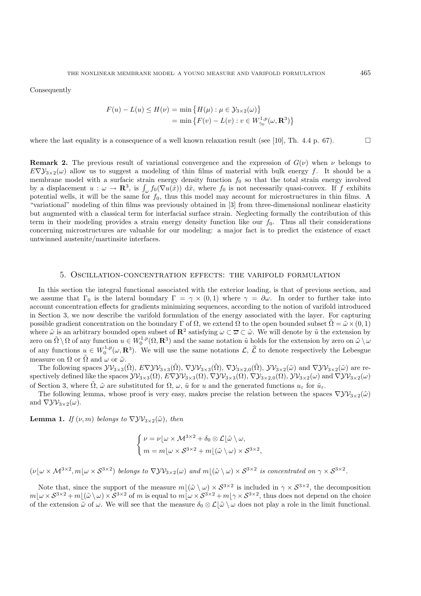**Consequently** 

$$
F(u) - L(u) \le H(\nu) = \min \{ H(\mu) : \mu \in \mathcal{Y}_{3 \times 2}(\omega) \}
$$
  
=  $\min \{ F(v) - L(v) : v \in W_{\gamma_0}^{1,p}(\omega, \mathbf{R}^3) \}$ 

where the last equality is a consequence of a well known relaxation result (see [10], Th. 4.4 p. 67).

**Remark 2.** The previous result of variational convergence and the expression of  $G(\nu)$  when  $\nu$  belongs to  $E\nabla\mathcal{Y}_{3\times2}(\omega)$  allow us to suggest a modeling of thin films of material with bulk energy f. It should be a membrane model with a surfacic strain energy density function  $f_0$  so that the total strain energy involved by a displacement  $u : \omega \to \mathbf{R}^3$ , is  $\int_{\omega} f_0(\nabla u(\tilde{x})) d\hat{x}$ , where  $f_0$  is not necessarily quasi-convex. If f exhibits potential wells, it will be the same for  $f_0$ , thus this model may account for microstructures in thin films. A "variational" modeling of thin films was previously obtained in [3] from three-dimensional nonlinear elasticity but augmented with a classical term for interfacial surface strain. Neglecting formally the contribution of this term in their modeling provides a strain energy density function like our  $f_0$ . Thus all their considerations concerning microstructures are valuable for our modeling: a major fact is to predict the existence of exact untwinned austenite/martinsite interfaces.

#### 5. Oscillation-concentration effects: the varifold formulation

In this section the integral functional associated with the exterior loading, is that of previous section, and we assume that  $\Gamma_0$  is the lateral boundary  $\Gamma = \gamma \times (0,1)$  where  $\gamma = \partial \omega$ . In order to further take into account concentration effects for gradients minimizing sequences, according to the notion of varifold introduced in Section 3, we now describe the varifold formulation of the energy associated with the layer. For capturing possible gradient concentration on the boundary Γ of  $\Omega$ , we extend  $\Omega$  to the open bounded subset  $\Omega = \tilde{\omega} \times (0, 1)$ where  $\tilde{\omega}$  is an arbitrary bounded open subset of  $\mathbb{R}^2$  satisfying  $\omega \subset \overline{\omega} \subset \tilde{\omega}$ . We will denote by  $\tilde{u}$  the extension by zero on  $\tilde{\Omega} \setminus \Omega$  of any function  $u \in W_0^{1,p}(\Omega, \mathbf{R}^3)$  and the same notation  $\tilde{u}$  holds for the extension by zero on  $\tilde{\omega} \setminus \omega$ of any functions  $u \in W_0^{1,p}(\omega, \mathbf{R}^3)$ . We will use the same notations  $\mathcal{L}, \hat{\mathcal{L}}$  to denote respectively the Lebesgue measure on  $\Omega$  or  $\Omega$  and  $\omega$  or  $\tilde{\omega}$ .

The following spaces  $\mathcal{YV}_{3\times3}(\tilde{\Omega}), E\nabla \mathcal{YV}_{3\times3}(\tilde{\Omega}), \nabla \mathcal{YV}_{3\times3}(\tilde{\Omega}), \nabla \mathcal{Y}_{3\times2,0}(\tilde{\Omega}), \mathcal{YV}_{3\times2}(\tilde{\omega})$  and  $\nabla \mathcal{YV}_{3\times2}(\tilde{\omega})$  are respectively defined like the spaces  $\mathcal{YV}_{3\times3}(\Omega)$ ,  $E\nabla \mathcal{YV}_{3\times3}(\Omega)$ ,  $\nabla \mathcal{YV}_{3\times3}(\Omega)$ ,  $\nabla \mathcal{Y}_{3\times2,0}(\Omega)$ ,  $\mathcal{YV}_{3\times2}(\omega)$  and  $\nabla \mathcal{YV}_{3\times2}(\omega)$ of Section 3, where  $\tilde{\Omega}$ ,  $\tilde{\omega}$  are substituted for  $\Omega$ ,  $\omega$ ,  $\tilde{u}$  for u and the generated functions  $u_{\varepsilon}$  for  $\tilde{u}_{\varepsilon}$ .

The following lemma, whose proof is very easy, makes precise the relation between the spaces  $\nabla \mathcal{Y} \mathcal{V}_{3\times 2}(\tilde{\omega})$ and  $\nabla \mathcal{Y} \mathcal{V}_{3 \times 2}(\omega)$ .

**Lemma 1.** *If*  $(\nu, m)$  *belongs to*  $\nabla \mathcal{Y} \mathcal{Y}_{3 \times 2}(\tilde{\omega})$ *, then* 

$$
\begin{cases} \nu = \nu \lfloor \omega \times \mathcal{M}^{3 \times 2} + \delta_0 \otimes \mathcal{L} \lfloor \tilde{\omega} \setminus \omega, \\ m = m \lfloor \omega \times \mathcal{S}^{3 \times 2} + m \lfloor (\tilde{\omega} \setminus \omega) \times \mathcal{S}^{3 \times 2}, \end{cases}
$$

 $(\nu | \omega \times M^{3 \times 2}, m | \omega \times S^{3 \times 2})$  *belongs to*  $\nabla \mathcal{Y} \mathcal{Y}_{3 \times 2}(\omega)$  *and*  $m | (\tilde{\omega} \setminus \omega) \times S^{3 \times 2}$  *is concentrated on*  $\gamma \times S^{3 \times 2}$ *.* 

Note that, since the support of the measure  $m(\tilde{\omega} \setminus \omega) \times S^{3 \times 2}$  is included in  $\gamma \times S^{3 \times 2}$ , the decomposition  $m[\omega \times S^{3\times2} + m](\tilde{\omega}\setminus \omega) \times S^{3\times2}$  of m is equal to  $m[\omega \times S^{3\times2} + m]\gamma \times S^{3\times2}$ , thus does not depend on the choice of the extension  $\tilde{\omega}$  of  $\omega$ . We will see that the measure  $\delta_0 \otimes \mathcal{L}(\tilde{\omega} \setminus \omega)$  does not play a role in the limit functional.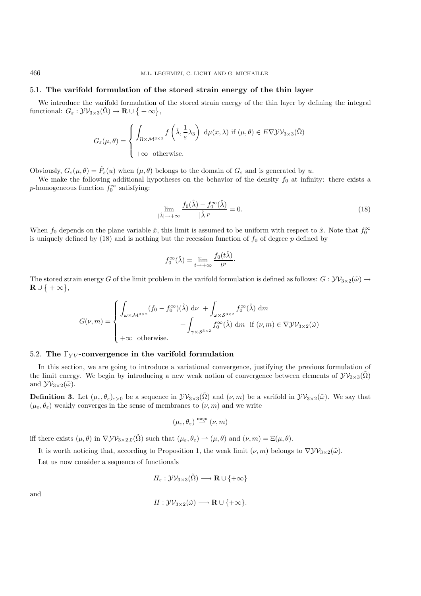## 5.1. **The varifold formulation of the stored strain energy of the thin layer**

We introduce the varifold formulation of the stored strain energy of the thin layer by defining the integral functional:  $G_{\varepsilon}: \mathcal{YV}_{3\times 3}(\tilde{\Omega}) \to \mathbf{R} \cup \{ +\infty \},\$ 

$$
G_{\varepsilon}(\mu,\theta) = \begin{cases} \int_{\Omega \times \mathcal{M}^{3\times 3}} f\left(\hat{\lambda}, \frac{1}{\varepsilon} \lambda_3\right) \, \mathrm{d}\mu(x,\lambda) \text{ if } (\mu,\theta) \in E \nabla \mathcal{Y} \mathcal{V}_{3\times 3}(\tilde{\Omega})\\ +\infty \text{ otherwise.} \end{cases}
$$

Obviously,  $G_{\varepsilon}(\mu,\theta) = \tilde{F}_{\varepsilon}(u)$  when  $(\mu,\theta)$  belongs to the domain of  $G_{\varepsilon}$  and is generated by u.

We make the following additional hypotheses on the behavior of the density  $f_0$  at infinity: there exists a p-homogeneous function  $f_0^{\infty}$  satisfying:

$$
\lim_{|\hat{\lambda}| \to +\infty} \frac{f_0(\hat{\lambda}) - f_0^{\infty}(\hat{\lambda})}{|\hat{\lambda}|^p} = 0.
$$
\n(18)

When  $f_0$  depends on the plane variable  $\hat{x}$ , this limit is assumed to be uniform with respect to  $\hat{x}$ . Note that  $f_0^{\infty}$ is uniquely defined by  $(18)$  and is nothing but the recession function of  $f_0$  of degree p defined by

$$
f_0^{\infty}(\hat{\lambda}) = \lim_{t \to +\infty} \frac{f_0(t\hat{\lambda})}{t^p}.
$$

The stored strain energy G of the limit problem in the varifold formulation is defined as follows:  $G: \mathcal{YV}_{3\times 2}(\tilde{\omega}) \to$  $\mathbf{R} \cup \{ +\infty \},\$ 

$$
G(\nu,m) = \begin{cases} \int_{\omega \times \mathcal{M}^{3 \times 2}} (f_0 - f_0^{\infty})(\hat{\lambda}) \, d\nu + \int_{\omega \times \mathcal{S}^{3 \times 2}} f_0^{\infty}(\hat{\lambda}) \, dm \\ + \int_{\gamma \times \mathcal{S}^{3 \times 2}} f_0^{\infty}(\hat{\lambda}) \, dm \, \text{ if } (\nu, m) \in \nabla \mathcal{Y} \mathcal{V}_{3 \times 2}(\tilde{\omega}) \\ + \infty \text{ otherwise.} \end{cases}
$$

## 5.2. **The** Γ*Y V* **-convergence in the varifold formulation**

In this section, we are going to introduce a variational convergence, justifying the previous formulation of the limit energy. We begin by introducing a new weak notion of convergence between elements of  $\mathcal{YV}_{3\times3}(\tilde{\Omega})$ and  ${\cal Y}{\cal V}_{3\times 2}(\tilde{\omega})$ .

**Definition 3.** Let  $(\mu_{\varepsilon}, \theta_{\varepsilon})_{\varepsilon>0}$  be a sequence in  $\mathcal{YV}_{3\times3}(\tilde{\Omega})$  and  $(\nu, m)$  be a varifold in  $\mathcal{YV}_{3\times2}(\tilde{\omega})$ . We say that  $(\mu_{\varepsilon}, \theta_{\varepsilon})$  weakly converges in the sense of membranes to  $(\nu, m)$  and we write

$$
(\mu_{\varepsilon}, \theta_{\varepsilon}) \stackrel{\text{mem}}{\rightharpoonup} (\nu, m)
$$

iff there exists  $(\mu, \theta)$  in  $\nabla \mathcal{Y} \mathcal{Y}_{3 \times 2,0}(\tilde{\Omega})$  such that  $(\mu_{\varepsilon}, \theta_{\varepsilon}) \to (\mu, \theta)$  and  $(\nu, m) = \Xi(\mu, \theta)$ .

It is worth noticing that, according to Proposition 1, the weak limit  $(\nu, m)$  belongs to  $\nabla \mathcal{Y} \mathcal{Y}_{3 \times 2}(\tilde{\omega})$ .

Let us now consider a sequence of functionals

$$
H_{\varepsilon}: \mathcal{YV}_{3\times 3}(\tilde{\Omega}) \longrightarrow \mathbf{R} \cup \{+\infty\}
$$

and

$$
H: \mathcal{YV}_{3\times 2}(\tilde{\omega}) \longrightarrow \mathbf{R} \cup \{+\infty\}.
$$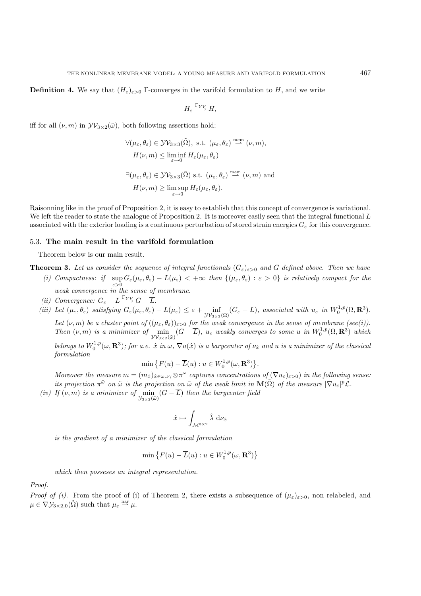$$
H_{\varepsilon}\stackrel{\Gamma_{YV}}{\longrightarrow}H,
$$

iff for all  $(\nu, m)$  in  $\mathcal{YV}_{3\times 2}(\tilde{\omega})$ , both following assertions hold:

$$
\forall (\mu_{\varepsilon}, \theta_{\varepsilon}) \in \mathcal{Y} \mathcal{V}_{3 \times 3}(\tilde{\Omega}), \text{ s.t. } (\mu_{\varepsilon}, \theta_{\varepsilon}) \stackrel{\text{mem}}{\longrightarrow} (\nu, m),
$$
  

$$
H(\nu, m) \le \liminf_{\varepsilon \to 0} H_{\varepsilon}(\mu_{\varepsilon}, \theta_{\varepsilon})
$$
  

$$
\exists (\mu_{\varepsilon}, \theta_{\varepsilon}) \in \mathcal{Y} \mathcal{V}_{3 \times 3}(\tilde{\Omega}) \text{ s.t. } (\mu_{\varepsilon}, \theta_{\varepsilon}) \stackrel{\text{mem}}{\longrightarrow} (\nu, m) \text{ and}
$$
  

$$
H(\nu, m) \ge \limsup_{\varepsilon \to 0} H_{\varepsilon}(\mu_{\varepsilon}, \theta_{\varepsilon}).
$$

Raisonning like in the proof of Proposition 2, it is easy to establish that this concept of convergence is variational. We left the reader to state the analogue of Proposition 2. It is moreover easily seen that the integral functional L associated with the exterior loading is a continuous perturbation of stored strain energies  $G_{\varepsilon}$  for this convergence.

## 5.3. **The main result in the varifold formulation**

Theorem below is our main result.

**Theorem 3.** Let us consider the sequence of integral functionals  $(G_{\varepsilon})_{\varepsilon>0}$  and G defined above. Then we have

- (*i)* Compactness: if  $\sup_{\varepsilon>0} G_{\varepsilon}(\mu_{\varepsilon}, \theta_{\varepsilon}) L(\mu_{\varepsilon}) < +\infty$  then  $\{(\mu_{\varepsilon}, \theta_{\varepsilon}) : \varepsilon > 0\}$  is relatively compact for the *weak convergence in the sense of membrane.*
- *(ii)* Convergence:  $G_{\varepsilon} L \xrightarrow{\Gamma_{YY}} G \overline{L}$ .
- *(iii)* Let  $(\mu_{\varepsilon}, \theta_{\varepsilon})$  satisfying  $G_{\varepsilon}(\mu_{\varepsilon}, \theta_{\varepsilon}) L(\mu_{\varepsilon}) \leq \varepsilon + \inf_{\mathcal{V} \mathcal{V}_{3 \times 3}(\Omega)} (G_{\varepsilon} L)$ , associated with  $u_{\varepsilon}$  in  $W_0^{1,p}(\Omega, \mathbf{R}^3)$ .

*Let*  $(\nu, m)$  *be a cluster point of*  $((\mu_{\varepsilon}, \theta_{\varepsilon}))_{\varepsilon > 0}$  *for the weak convergence in the sense of membrane (see(i)). Then*  $(\nu, m)$  *is a minimizer of*  $\min_{\mathcal{Y} \mathcal{V}_{3 \times 2}(\tilde{\omega})}$  $(G - \overline{L})$ ,  $u_{\varepsilon}$  weakly converges to some u in  $W_0^{1,p}(\Omega, \mathbf{R}^3)$  which *belongs to*  $W_0^{1,p}(\omega, \mathbf{R}^3)$ ; for a.e.  $\hat{x}$  in  $\omega$ ,  $\nabla u(\hat{x})$  is a barycenter of  $\nu_{\hat{x}}$  and u is a minimizer of the classical *formulation*

$$
\min\big\{F(u)-\overline{L}(u):u\in W^{1,p}_0(\omega,\mathbf{R}^3)\big\}.
$$

*Moreover the measure*  $m = (m_{\hat{x}})_{\hat{x} \in \omega \cup \gamma} \otimes \pi^{\omega}$  *captures concentrations of*  $(\nabla u_{\varepsilon})_{\varepsilon > 0}$ *) in the following sense: its projection*  $\pi^{\tilde{\omega}}$  *on*  $\tilde{\omega}$  *is the projection on*  $\tilde{\omega}$  *of the weak limit in*  $\mathbf{M}(\tilde{\Omega})$  *of the measure*  $|\nabla u_{\varepsilon}|^p \mathcal{L}$ *.* 

*(iv)* If  $(\nu, m)$  *is a minimizer of*  $\min_{\mathcal{Y}_{3 \times 2}(\tilde{\omega})} (G - L)$  *then the barycenter field* 

$$
\hat{x} \mapsto \int_{\mathcal{M}^{3 \times 2}} \hat{\lambda} \, \mathrm{d} \nu_{\hat{x}}
$$

*is the gradient of a minimizer of the classical formulation*

$$
\min \left\{ F(u) - \overline{L}(u) : u \in W_0^{1,p}(\omega, \mathbf{R}^3) \right\}
$$

*which then posseses an integral representation.*

*Proof.*

*Proof of (i).* From the proof of (i) of Theorem 2, there exists a subsequence of  $(\mu_{\varepsilon})_{\varepsilon>0}$ , non relabeled, and  $\mu \in \nabla \mathcal{Y}_{3 \times 2,0}(\tilde{\Omega})$  such that  $\mu_{\varepsilon} \stackrel{\text{nar}}{\rightharpoonup} \mu$ .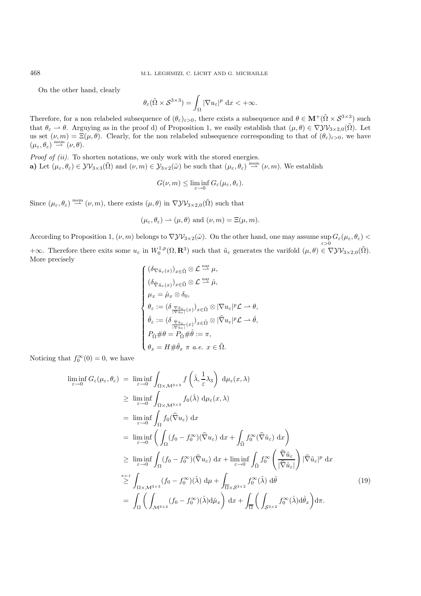On the other hand, clearly

$$
\theta_{\varepsilon}(\tilde{\Omega}\times\mathcal{S}^{3\times3})=\int_{\Omega}|\nabla u_{\varepsilon}|^p\,\mathrm{d}x<+\infty.
$$

Therefore, for a non relabeled subsequence of  $(\theta_{\varepsilon})_{\varepsilon>0}$ , there exists a subsequence and  $\theta \in \mathbf{M}^+(\tilde{\Omega} \times \mathcal{S}^{3\times3})$  such that  $\theta_{\varepsilon} \to \theta$ . Arguying as in the proof d) of Proposition 1, we easily establish that  $(\mu, \theta) \in \nabla \mathcal{Y} \mathcal{Y}_{3 \times 2,0}(\tilde{\Omega})$ . Let us set  $(\nu, m) = \Xi(\mu, \theta)$ . Clearly, for the non relabeled subsequence corresponding to that of  $(\theta_{\varepsilon})_{\varepsilon>0}$ , we have  $(\mu_{\varepsilon}, \theta_{\varepsilon}) \stackrel{\text{mem}}{\rightharpoonup} (\nu, \theta).$ 

*Proof of (ii).* To shorten notations, we only work with the stored energies. **a)** Let  $(\mu_{\varepsilon}, \theta_{\varepsilon}) \in \mathcal{Y} \mathcal{V}_{3 \times 3}(\tilde{\Omega})$  and  $(\nu, m) \in \mathcal{Y}_{3 \times 2}(\tilde{\omega})$  be such that  $(\mu_{\varepsilon}, \theta_{\varepsilon}) \stackrel{\text{mem}}{\sim} (\nu, m)$ . We establish

$$
G(\nu, m) \leq \liminf_{\varepsilon \to 0} G_{\varepsilon}(\mu_{\varepsilon}, \theta_{\varepsilon}).
$$

Since  $(\mu_{\varepsilon}, \theta_{\varepsilon}) \stackrel{\text{mem}}{\longrightarrow} (\nu, m)$ , there exists  $(\mu, \theta)$  in  $\nabla \mathcal{Y} \mathcal{V}_{3 \times 2,0}(\tilde{\Omega})$  such that

$$
(\mu_{\varepsilon}, \theta_{\varepsilon}) \rightharpoonup (\mu, \theta)
$$
 and  $(\nu, m) = \Xi(\mu, m)$ .

According to Proposition 1,  $(\nu, m)$  belongs to  $\nabla \mathcal{Y} \mathcal{Y}_{3 \times 2}(\tilde{\omega})$ . On the other hand, one may assume sup  $G_{\varepsilon}(\mu_{\varepsilon}, \theta_{\varepsilon})$  $+\infty$ . Therefore there exits some  $u_{\varepsilon}$  in  $W_0^{1,p}(\Omega, \mathbf{R}^3)$  such that  $\tilde{u}_{\varepsilon}$  generates the varifold  $(\mu, \theta) \in \nabla \mathcal{Y} \mathcal{V}_{3 \times 2,0}(\tilde{\Omega})$ .

More precisely

$$
\left\{ \begin{aligned} &(\delta_{\nabla \tilde{u}_{\varepsilon}(x)})_{x \in \tilde{\Omega}} \otimes \mathcal{L} \overset{\text{nar}}{\rightharpoonup} \mu, \\ &(\delta_{\hat{\nabla} \tilde{u}_{\varepsilon}(x)})_{x \in \tilde{\Omega}} \otimes \mathcal{L} \overset{\text{nar}}{\rightharpoonup} \hat{\mu}, \\ &\mu_{x} = \hat{\mu}_{x} \otimes \delta_{0}, \\ &\theta_{\varepsilon} := (\delta_{\frac{\nabla \tilde{u}_{\varepsilon}}{\lvert \nabla \tilde{u}_{\varepsilon} \rvert}(x)})_{x \in \tilde{\Omega}} \otimes \lvert \nabla u_{\varepsilon} \rvert^{p} \mathcal{L} \rightharpoonup \theta, \\ &\hat{\theta}_{\varepsilon} := (\delta_{\frac{\nabla \tilde{u}_{\varepsilon}}{\lvert \nabla \tilde{u}_{\varepsilon} \rvert}(x)})_{x \in \tilde{\Omega}} \otimes \lvert \hat{\nabla} u_{\varepsilon} \rvert^{p} \mathcal{L} \rightharpoonup \hat{\theta}, \\ &P_{\tilde{\Omega}} \# \theta = P_{\tilde{\Omega}} \# \hat{\theta} := \pi, \\ &\theta_{x} = H \# \hat{\theta}_{x} \ \pi \ a.e. \ x \in \tilde{\Omega}. \end{aligned} \right.
$$

Noticing that  $f_0^{\infty}(0) = 0$ , we have

$$
\liminf_{\varepsilon \to 0} G_{\varepsilon}(\mu_{\varepsilon}, \theta_{\varepsilon}) = \liminf_{\varepsilon \to 0} \int_{\Omega \times M^{3 \times 3}} f\left(\hat{\lambda}, \frac{1}{\varepsilon} \lambda_{3}\right) d\mu_{\varepsilon}(x, \lambda)
$$
\n
$$
\geq \liminf_{\varepsilon \to 0} \int_{\Omega \times M^{3 \times 3}} f_{0}(\hat{\lambda}) d\mu_{\varepsilon}(x, \lambda)
$$
\n
$$
= \liminf_{\varepsilon \to 0} \int_{\Omega} f_{0}(\hat{\nabla} u_{\varepsilon}) dx
$$
\n
$$
= \liminf_{\varepsilon \to 0} \left( \int_{\Omega} (f_{0} - f_{0}^{\infty})(\hat{\nabla} u_{\varepsilon}) dx + \int_{\tilde{\Omega}} f_{0}^{\infty}(\hat{\nabla} \tilde{u}_{\varepsilon}) dx \right)
$$
\n
$$
\geq \liminf_{\varepsilon \to 0} \int_{\Omega} (f_{0} - f_{0}^{\infty})(\hat{\nabla} u_{\varepsilon}) dx + \liminf_{\varepsilon \to 0} \int_{\tilde{\Omega}} f_{0}^{\infty} \left( \frac{\hat{\nabla} \tilde{u}_{\varepsilon}}{|\hat{\nabla} \tilde{u}_{\varepsilon}|} \right) |\hat{\nabla} \tilde{u}_{\varepsilon}|^{p} dx
$$
\n
$$
\geq \int_{\Omega \times M^{3 \times 3}} (f_{0} - f_{0}^{\infty})(\hat{\lambda}) d\mu + \int_{\overline{\Omega} \times S^{3 \times 2}} f_{0}^{\infty}(\hat{\lambda}) d\hat{\theta}
$$
\n
$$
= \int_{\Omega} \left( \int_{M^{3 \times 2}} (f_{0} - f_{0}^{\infty})(\hat{\lambda}) d\hat{\mu}_{x} \right) dx + \int_{\overline{\Omega}} \left( \int_{S^{3 \times 2}} f_{0}^{\infty}(\hat{\lambda}) d\hat{\theta}_{x} \right) d\pi.
$$
\n(19)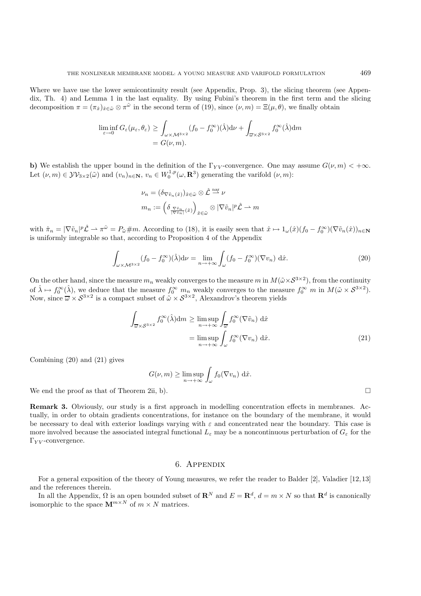Where we have use the lower semicontinuity result (see Appendix, Prop. 3), the slicing theorem (see Appendix, Th. 4) and Lemma 1 in the last equality. By using Fubini's theorem in the first term and the slicing decomposition  $\pi = (\pi_{\hat{x}})_{\hat{x} \in \tilde{\omega}} \otimes \pi^{\tilde{\omega}}$  in the second term of (19), since  $(\nu, m) = \Xi(\mu, \theta)$ , we finally obtain

$$
\liminf_{\varepsilon \to 0} G_{\varepsilon}(\mu_{\varepsilon}, \theta_{\varepsilon}) \ge \int_{\omega \times M^{3 \times 2}} (f_0 - f_0^{\infty})(\hat{\lambda}) d\nu + \int_{\overline{\omega} \times S^{3 \times 2}} f_0^{\infty}(\hat{\lambda}) dm
$$
  
=  $G(\nu, m).$ 

**b)** We establish the upper bound in the definition of the  $\Gamma_{YY}$ -convergence. One may assume  $G(\nu, m) < +\infty$ . Let  $(\nu, m) \in \mathcal{YV}_{3\times2}(\tilde{\omega})$  and  $(v_n)_{n\in\mathbb{N}}, v_n \in W_0^{1,p}(\omega,\mathbf{R}^3)$  generating the varifold  $(\nu, m)$ :

$$
\nu_n = (\delta_{\nabla \tilde{v}_n(\hat{x})})_{\hat{x} \in \tilde{\omega}} \otimes \hat{\mathcal{L}} \stackrel{\text{nar}}{\sim} \nu
$$

$$
m_n := \left(\delta_{\frac{\nabla \tilde{v}_n}{|\nabla \tilde{v}_n|}(\hat{x})}\right)_{\hat{x} \in \tilde{\omega}} \otimes |\nabla \tilde{v}_n|^p \hat{\mathcal{L}} \to m
$$

with  $\hat{\pi}_n = |\nabla \tilde{v}_n|^p \hat{\mathcal{L}} \to \pi^{\tilde{\omega}} = P_{\tilde{\omega}} \# m$ . According to (18), it is easily seen that  $\hat{x} \mapsto 1_{\omega}(\hat{x}) (f_0 - f_0^{\infty})(\nabla \tilde{v}_n(\hat{x}))_{n \in \mathbb{N}}$ is uniformly integrable so that, according to Proposition 4 of the Appendix

$$
\int_{\omega \times M^{3 \times 2}} (f_0 - f_0^{\infty})(\hat{\lambda}) d\nu = \lim_{n \to +\infty} \int_{\omega} (f_0 - f_0^{\infty})(\nabla v_n) d\hat{x}.
$$
\n(20)

On the other hand, since the measure  $m_n$  weakly converges to the measure m in  $M(\tilde{\omega}\times S^{3\times 2})$ , from the continuity of  $\hat{\lambda} \mapsto f_0^{\infty}(\hat{\lambda})$ , we deduce that the measure  $f_0^{\infty}$   $m_n$  weakly converges to the measure  $f_0^{\infty}$   $m$  in  $M(\tilde{\omega} \times S^{3 \times 2})$ . Now, since  $\overline{\omega} \times S^{3\times 2}$  is a compact subset of  $\tilde{\omega} \times S^{3\times 2}$ , Alexandrov's theorem yields

$$
\int_{\overline{\omega}\times S^{3\times 2}} f_0^{\infty}(\hat{\lambda}) dm \ge \limsup_{n \to +\infty} \int_{\overline{\omega}} f_0^{\infty}(\nabla \tilde{v}_n) d\hat{x}
$$

$$
= \limsup_{n \to +\infty} \int_{\omega} f_0^{\infty}(\nabla v_n) d\hat{x}.
$$
(21)

Combining (20) and (21) gives

$$
G(\nu, m) \ge \limsup_{n \to +\infty} \int_{\omega} f_0(\nabla v_n) \, d\hat{x}.
$$

We end the proof as that of Theorem 2ii, b).  $\Box$ 

**Remark 3.** Obviously, our study is a first approach in modelling concentration effects in membranes. Actually, in order to obtain gradients concentrations, for instance on the boundary of the membrane, it would be necessary to deal with exterior loadings varying with  $\varepsilon$  and concentrated near the boundary. This case is more involved because the associated integral functional  $L_{\varepsilon}$  may be a noncontinuous perturbation of  $G_{\varepsilon}$  for the  $\Gamma_{YV}$ -convergence.

## 6. Appendix

For a general exposition of the theory of Young measures, we refer the reader to Balder [2], Valadier [12, 13] and the references therein.

In all the Appendix,  $\Omega$  is an open bounded subset of  $\mathbb{R}^N$  and  $E = \mathbb{R}^d$ ,  $d = m \times N$  so that  $\mathbb{R}^d$  is canonically isomorphic to the space  $\mathbf{M}^{m \times N}$  of  $m \times N$  matrices.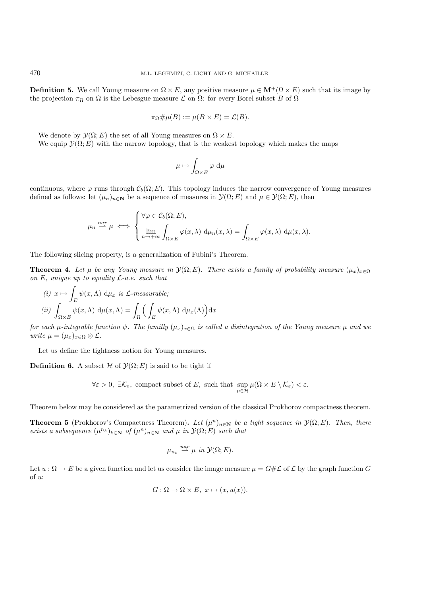**Definition 5.** We call Young measure on  $\Omega \times E$ , any positive measure  $\mu \in \mathbf{M}^+(\Omega \times E)$  such that its image by the projection  $\pi_{\Omega}$  on  $\Omega$  is the Lebesgue measure  $\mathcal L$  on  $\Omega$ : for every Borel subset B of  $\Omega$ 

$$
\pi_{\Omega} \# \mu(B) := \mu(B \times E) = \mathcal{L}(B).
$$

We denote by  $\mathcal{Y}(\Omega; E)$  the set of all Young measures on  $\Omega \times E$ .

We equip  $\mathcal{Y}(\Omega; E)$  with the narrow topology, that is the weakest topology which makes the maps

$$
\mu \mapsto \int_{\Omega \times E} \varphi \, \mathrm{d}\mu
$$

continuous, where  $\varphi$  runs through  $\mathcal{C}_b(\Omega; E)$ . This topology induces the narrow convergence of Young measures defined as follows: let  $(\mu_n)_{n\in\mathbb{N}}$  be a sequence of measures in  $\mathcal{Y}(\Omega; E)$  and  $\mu \in \mathcal{Y}(\Omega; E)$ , then

$$
\mu_n \stackrel{nar}{\longrightarrow} \mu \iff \begin{cases} \forall \varphi \in \mathcal{C}_b(\Omega; E), \\ \lim_{n \to +\infty} \int_{\Omega \times E} \varphi(x, \lambda) \, d\mu_n(x, \lambda) = \int_{\Omega \times E} \varphi(x, \lambda) \, d\mu(x, \lambda). \end{cases}
$$

The following slicing property, is a generalization of Fubini's Theorem.

**Theorem 4.** Let  $\mu$  be any Young measure in  $\mathcal{Y}(\Omega; E)$ . There exists a family of probability measure  $(\mu_x)_{x \in \Omega}$ *on* E*, unique up to equality* L*-a.e. such that*

(i) 
$$
x \mapsto \int_E \psi(x, \Lambda) d\mu_x
$$
 is L-measurable;  
\n(ii)  $\int_{\Omega \times E} \psi(x, \Lambda) d\mu(x, \Lambda) = \int_{\Omega} \left( \int_E \psi(x, \Lambda) d\mu_x(\Lambda) \right) dx$ 

*for each*  $\mu$ -integrable function  $\psi$ . The familly  $(\mu_x)_{x \in \Omega}$  *is called a disintegration of the Young measure*  $\mu$  *and we write*  $\mu = (\mu_x)_{x \in \Omega} \otimes \mathcal{L}$ .

Let us define the tightness notion for Young measures.

**Definition 6.** A subset  $H$  of  $\mathcal{Y}(\Omega; E)$  is said to be tight if

$$
\forall \varepsilon >0, \ \exists \mathcal{K}_{\varepsilon}, \ \text{compact subset of } E, \ \text{such that } \sup_{\mu \in \mathcal{H}} \mu(\Omega \times E \setminus \mathcal{K}_{\varepsilon}) < \varepsilon.
$$

Theorem below may be considered as the parametrized version of the classical Prokhorov compactness theorem.

**Theorem 5** (Prokhorov's Compactness Theorem). Let  $(\mu^n)_{n \in \mathbb{N}}$  be a tight sequence in  $\mathcal{Y}(\Omega; E)$ . Then, there *exists a subsequence*  $(\mu^{n_k})_{k \in \mathbb{N}}$  *of*  $(\mu^n)_{n \in \mathbb{N}}$  *and*  $\mu$  *in*  $\mathcal{Y}(\Omega; E)$  *such that* 

$$
\mu_{n_k} \stackrel{nar}{\rightharpoonup} \mu \text{ in } \mathcal{Y}(\Omega; E).
$$

Let  $u : \Omega \to E$  be a given function and let us consider the image measure  $\mu = G \# \mathcal{L}$  of  $\mathcal{L}$  by the graph function G of u:

$$
G: \Omega \to \Omega \times E, \ x \mapsto (x, u(x)).
$$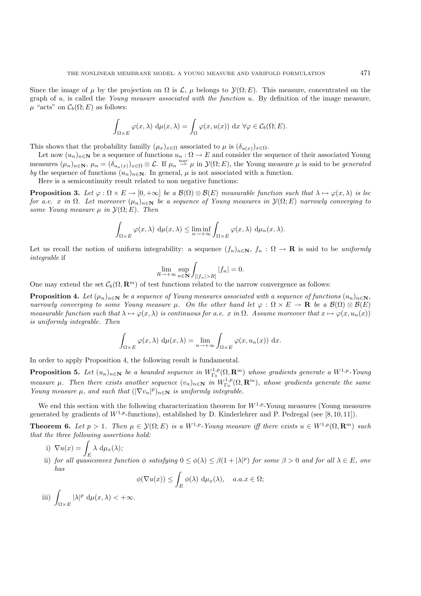Since the image of  $\mu$  by the projection on  $\Omega$  is  $\mathcal{L}, \mu$  belongs to  $\mathcal{Y}(\Omega; E)$ . This measure, concentrated on the graph of u, is called the *Young measure associated with the function* u. By definition of the image measure,  $\mu$  "acts" on  $\mathcal{C}_b(\Omega; E)$  as follows:

$$
\int_{\Omega \times E} \varphi(x, \lambda) \, d\mu(x, \lambda) = \int_{\Omega} \varphi(x, u(x)) \, dx \, \forall \varphi \in C_b(\Omega; E).
$$

This shows that the probability familly  $(\mu_x)_{x \in \Omega}$  associated to  $\mu$  is  $(\delta_{u(x)})_{x \in \Omega}$ .

Let now  $(u_n)_{n\in\mathbb{N}}$  be a sequence of functions  $u_n : \Omega \to E$  and consider the sequence of their associated Young measures  $(\mu_n)_{n\in\mathbb{N}}, \mu_n = (\delta_{u_n(x)})_{x\in\Omega}\otimes\mathcal{L}$ . If  $\mu_n \stackrel{nar}{\longrightarrow} \mu$  in  $\mathcal{Y}(\Omega;E)$ , the Young measure  $\mu$  is said to be *generated by* the sequence of functions  $(u_n)_{n\in\mathbb{N}}$ . In general,  $\mu$  is not associated with a function.

Here is a semicontinuity result related to non negative functions:

**Proposition 3.** *Let*  $\varphi : \Omega \times E \to [0, +\infty]$  *be a*  $\mathcal{B}(\Omega) \otimes \mathcal{B}(E)$  *measurable function such that*  $\lambda \mapsto \varphi(x, \lambda)$  *is lsc for a.e.* x *in*  $\Omega$ . Let moreover  $(\mu_n)_{n \in \mathbb{N}}$  be a sequence of Young measures in  $\mathcal{Y}(\Omega; E)$  narrowly converging to *some Young measure*  $\mu$  *in*  $\mathcal{Y}(\Omega; E)$ *. Then* 

$$
\int_{\Omega \times E} \varphi(x, \lambda) \, d\mu(x, \lambda) \le \liminf_{n \to +\infty} \int_{\Omega \times E} \varphi(x, \lambda) \, d\mu_n(x, \lambda).
$$

Let us recall the notion of uniform integrability: a sequence  $(f_n)_{n\in\mathbb{N}}$ ,  $f_n : \Omega \to \mathbb{R}$  is said to be *uniformly integrable* if

$$
\lim_{R\to+\infty}\sup_{n\in\mathbf{N}}\int_{[|f_n|>R]}|f_n|=0.
$$

One may extend the set  $\mathcal{C}_b(\Omega, \mathbf{R}^m)$  of test functions related to the narrow convergence as follows:

**Proposition 4.** *Let*  $(\mu_n)_{n\in\mathbb{N}}$  *be a sequence of Young measures associated with a sequence of functions*  $(u_n)_{n\in\mathbb{N}}$ *, narrowly converging to some Young measure*  $\mu$ . On the other hand let  $\varphi : \Omega \times E \to \mathbf{R}$  be a  $\mathcal{B}(\Omega) \otimes \mathcal{B}(E)$ *measurable function such that*  $\lambda \mapsto \varphi(x, \lambda)$  *is continuous for a.e.* x *in*  $\Omega$ *. Assume moreover that*  $x \mapsto \varphi(x, u_n(x))$ *is uniformly integrable. Then*

$$
\int_{\Omega \times E} \varphi(x, \lambda) d\mu(x, \lambda) = \lim_{n \to +\infty} \int_{\Omega \times E} \varphi(x, u_n(x)) dx.
$$

In order to apply Proposition 4, the following result is fundamental.

**Proposition 5.** Let  $(u_n)_{n\in\mathbb{N}}$  be a bounded sequence in  $W_{\Gamma_0}^{1,p}(\Omega,\mathbf{R}^m)$  whose gradients generate a  $W^{1,p}$ -Young *measure*  $\mu$ . Then there exists another sequence  $(v_n)_{n \in \mathbb{N}}$  *in*  $W^{1,p}_{\Gamma_0}(\Omega, \mathbf{R}^m)$ *, whose gradients generate the same Young measure*  $\mu$ *, and such that*  $(|\nabla v_n|^p)_{n \in \mathbb{N}}$  *is uniformly integrable.* 

We end this section with the following characterization theorem for  $W^{1,p}$ -Young measures (Young measures generated by gradients of  $W^{1,p}$ -functions), established by D. Kinderlehrer and P. Pedregal (see [8,10,11]).

**Theorem 6.** *Let*  $p > 1$ *. Then*  $\mu \in \mathcal{Y}(\Omega; E)$  *is a* W<sup>1,p</sup>-Young measure iff there exists  $u \in W^{1,p}(\Omega, \mathbb{R}^m)$  such *that the three following assertions hold:*

- i)  $\nabla u(x) = \int_E \lambda \, d\mu_x(\lambda);$
- ii) *for all quasiconvex function*  $\phi$  *satisfying*  $0 \leq \phi(\lambda) \leq \beta(1 + |\lambda|^p)$  *for some*  $\beta > 0$  *and for all*  $\lambda \in E$ *, one has*

$$
\phi(\nabla u(x)) \le \int_E \phi(\lambda) \, d\mu_x(\lambda), \quad a.a.x \in \Omega;
$$

iii)  $\Omega \times E$  $|\lambda|^p \, d\mu(x,\lambda) < +\infty.$